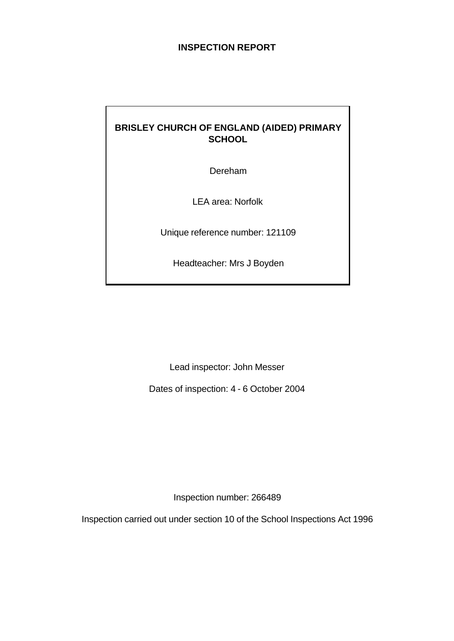## **INSPECTION REPORT**

# **BRISLEY CHURCH OF ENGLAND (AIDED) PRIMARY SCHOOL**

Dereham

LEA area: Norfolk

Unique reference number: 121109

Headteacher: Mrs J Boyden

Lead inspector: John Messer

Dates of inspection: 4 - 6 October 2004

Inspection number: 266489

Inspection carried out under section 10 of the School Inspections Act 1996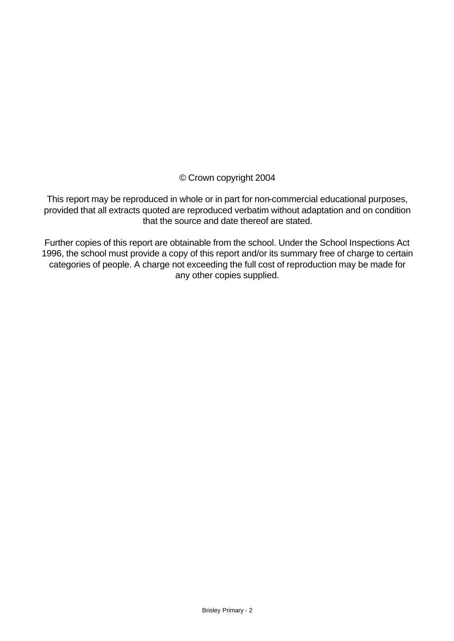© Crown copyright 2004

This report may be reproduced in whole or in part for non-commercial educational purposes, provided that all extracts quoted are reproduced verbatim without adaptation and on condition that the source and date thereof are stated.

Further copies of this report are obtainable from the school. Under the School Inspections Act 1996, the school must provide a copy of this report and/or its summary free of charge to certain categories of people. A charge not exceeding the full cost of reproduction may be made for any other copies supplied.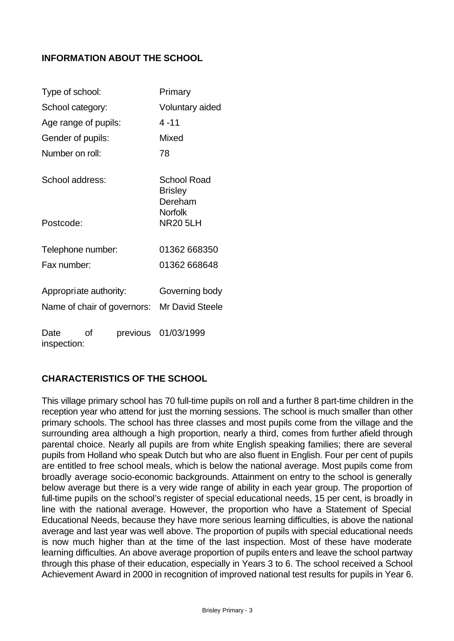# **INFORMATION ABOUT THE SCHOOL**

| Type of school:             |    | Primary |                                          |  |
|-----------------------------|----|---------|------------------------------------------|--|
| School category:            |    |         | Voluntary aided                          |  |
| Age range of pupils:        |    |         | $4 - 11$                                 |  |
| Gender of pupils:           |    |         | Mixed                                    |  |
| Number on roll:             |    |         | 78                                       |  |
| School address:             |    |         | School Road<br><b>Brisley</b><br>Dereham |  |
| Postcode:                   |    |         | <b>Norfolk</b><br><b>NR20 5LH</b>        |  |
| Telephone number:           |    |         | 01362 668350                             |  |
| Fax number:                 |    |         | 01362 668648                             |  |
| Appropriate authority:      |    |         | Governing body                           |  |
| Name of chair of governors: |    |         | <b>Mr David Steele</b>                   |  |
| Date<br>inspection:         | Ωf |         | previous 01/03/1999                      |  |

# **CHARACTERISTICS OF THE SCHOOL**

This village primary school has 70 full-time pupils on roll and a further 8 part-time children in the reception year who attend for just the morning sessions. The school is much smaller than other primary schools. The school has three classes and most pupils come from the village and the surrounding area although a high proportion, nearly a third, comes from further afield through parental choice. Nearly all pupils are from white English speaking families; there are several pupils from Holland who speak Dutch but who are also fluent in English. Four per cent of pupils are entitled to free school meals, which is below the national average. Most pupils come from broadly average socio-economic backgrounds. Attainment on entry to the school is generally below average but there is a very wide range of ability in each year group. The proportion of full-time pupils on the school's register of special educational needs, 15 per cent, is broadly in line with the national average. However, the proportion who have a Statement of Special Educational Needs, because they have more serious learning difficulties, is above the national average and last year was well above. The proportion of pupils with special educational needs is now much higher than at the time of the last inspection. Most of these have moderate learning difficulties. An above average proportion of pupils enters and leave the school partway through this phase of their education, especially in Years 3 to 6. The school received a School Achievement Award in 2000 in recognition of improved national test results for pupils in Year 6.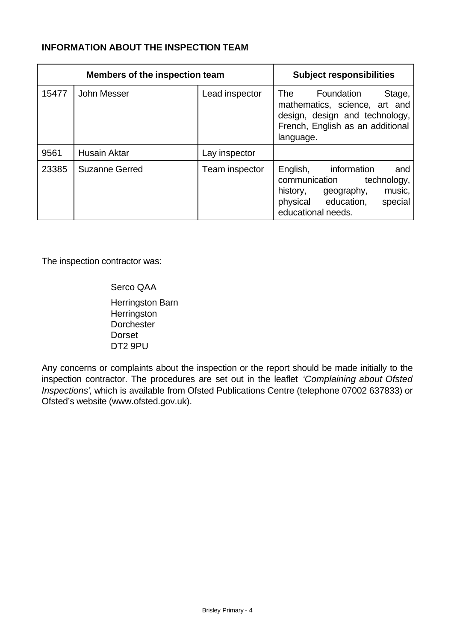## **INFORMATION ABOUT THE INSPECTION TEAM**

| <b>Members of the inspection team</b> |                       |                | <b>Subject responsibilities</b>                                                                                                                            |
|---------------------------------------|-----------------------|----------------|------------------------------------------------------------------------------------------------------------------------------------------------------------|
| 15477                                 | John Messer           | Lead inspector | Stage,<br>Foundation<br>The<br>mathematics, science, art and<br>design, design and technology,<br>French, English as an additional<br>language.            |
| 9561                                  | <b>Husain Aktar</b>   | Lay inspector  |                                                                                                                                                            |
| 23385                                 | <b>Suzanne Gerred</b> | Team inspector | information<br>English,<br>and<br>communication<br>technology,<br>history,<br>music,<br>geography,<br>physical education,<br>special<br>educational needs. |

The inspection contractor was:

Serco QAA Herringston Barn **Herringston Dorchester Dorset** DT2 9PU

Any concerns or complaints about the inspection or the report should be made initially to the inspection contractor. The procedures are set out in the leaflet *'Complaining about Ofsted Inspections'*, which is available from Ofsted Publications Centre (telephone 07002 637833) or Ofsted's website (www.ofsted.gov.uk).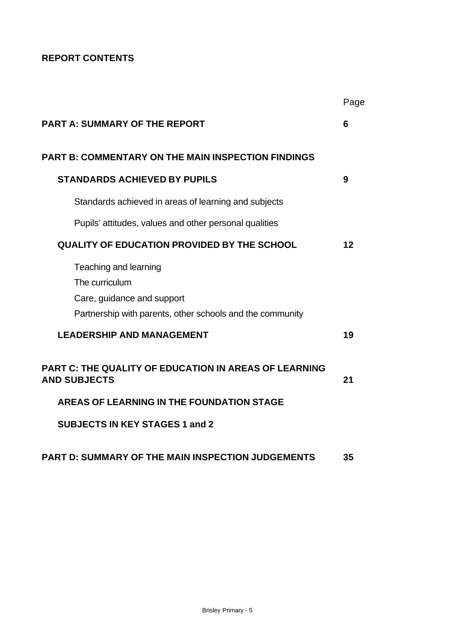# **REPORT CONTENTS**

|                                                                                                                                    | Page |
|------------------------------------------------------------------------------------------------------------------------------------|------|
| <b>PART A: SUMMARY OF THE REPORT</b>                                                                                               | 6    |
| <b>PART B: COMMENTARY ON THE MAIN INSPECTION FINDINGS</b>                                                                          |      |
| <b>STANDARDS ACHIEVED BY PUPILS</b>                                                                                                | 9    |
| Standards achieved in areas of learning and subjects                                                                               |      |
| Pupils' attitudes, values and other personal qualities                                                                             |      |
| <b>QUALITY OF EDUCATION PROVIDED BY THE SCHOOL</b>                                                                                 | 12   |
| Teaching and learning<br>The curriculum<br>Care, guidance and support<br>Partnership with parents, other schools and the community |      |
| <b>LEADERSHIP AND MANAGEMENT</b>                                                                                                   | 19   |
| <b>PART C: THE QUALITY OF EDUCATION IN AREAS OF LEARNING</b><br><b>AND SUBJECTS</b>                                                | 21   |
| AREAS OF LEARNING IN THE FOUNDATION STAGE                                                                                          |      |
| <b>SUBJECTS IN KEY STAGES 1 and 2</b>                                                                                              |      |
| <b>PART D: SUMMARY OF THE MAIN INSPECTION JUDGEMENTS</b>                                                                           | 35   |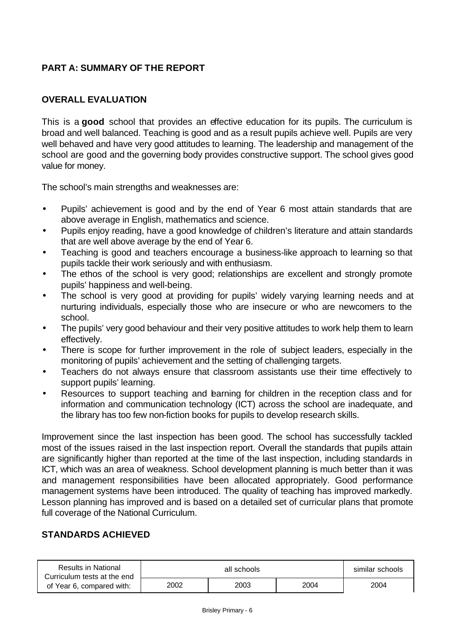# **PART A: SUMMARY OF THE REPORT**

# **OVERALL EVALUATION**

This is a **good** school that provides an effective education for its pupils. The curriculum is broad and well balanced. Teaching is good and as a result pupils achieve well. Pupils are very well behaved and have very good attitudes to learning. The leadership and management of the school are good and the governing body provides constructive support. The school gives good value for money.

The school's main strengths and weaknesses are:

- Pupils' achievement is good and by the end of Year 6 most attain standards that are above average in English, mathematics and science.
- Pupils enjoy reading, have a good knowledge of children's literature and attain standards that are well above average by the end of Year 6.
- Teaching is good and teachers encourage a business-like approach to learning so that pupils tackle their work seriously and with enthusiasm.
- The ethos of the school is very good; relationships are excellent and strongly promote pupils' happiness and well-being.
- The school is very good at providing for pupils' widely varying learning needs and at nurturing individuals, especially those who are insecure or who are newcomers to the school.
- The pupils' very good behaviour and their very positive attitudes to work help them to learn effectively.
- There is scope for further improvement in the role of subject leaders, especially in the monitoring of pupils' achievement and the setting of challenging targets.
- Teachers do not always ensure that classroom assistants use their time effectively to support pupils' learning.
- Resources to support teaching and barning for children in the reception class and for information and communication technology (ICT) across the school are inadequate, and the library has too few non-fiction books for pupils to develop research skills.

Improvement since the last inspection has been good. The school has successfully tackled most of the issues raised in the last inspection report. Overall the standards that pupils attain are significantly higher than reported at the time of the last inspection, including standards in ICT, which was an area of weakness. School development planning is much better than it was and management responsibilities have been allocated appropriately. Good performance management systems have been introduced. The quality of teaching has improved markedly. Lesson planning has improved and is based on a detailed set of curricular plans that promote full coverage of the National Curriculum.

## **STANDARDS ACHIEVED**

| Results in National<br>Curriculum tests at the end |      | similar schools |      |      |
|----------------------------------------------------|------|-----------------|------|------|
| of Year 6, compared with:                          | 2002 | 2003            | 2004 | 2004 |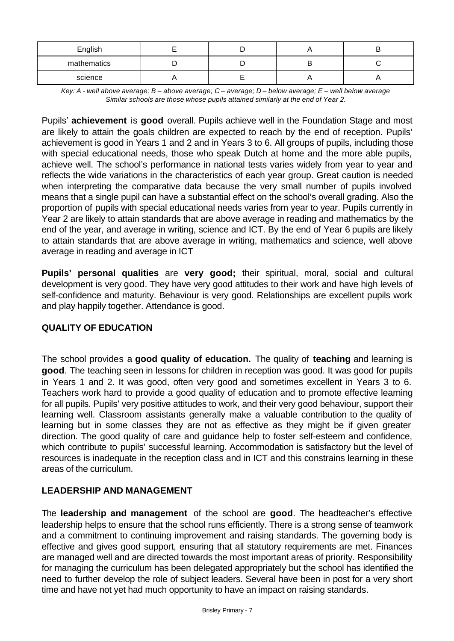| English     |  |  |
|-------------|--|--|
| mathematics |  |  |
| science     |  |  |

*Key: A - well above average; B – above average; C – average; D – below average; E – well below average Similar schools are those whose pupils attained similarly at the end of Year 2.*

Pupils' **achievement** is **good** overall. Pupils achieve well in the Foundation Stage and most are likely to attain the goals children are expected to reach by the end of reception. Pupils' achievement is good in Years 1 and 2 and in Years 3 to 6. All groups of pupils, including those with special educational needs, those who speak Dutch at home and the more able pupils, achieve well. The school's performance in national tests varies widely from year to year and reflects the wide variations in the characteristics of each year group. Great caution is needed when interpreting the comparative data because the very small number of pupils involved means that a single pupil can have a substantial effect on the school's overall grading. Also the proportion of pupils with special educational needs varies from year to year. Pupils currently in Year 2 are likely to attain standards that are above average in reading and mathematics by the end of the year, and average in writing, science and ICT. By the end of Year 6 pupils are likely to attain standards that are above average in writing, mathematics and science, well above average in reading and average in ICT

**Pupils' personal qualities** are **very good;** their spiritual, moral, social and cultural development is very good. They have very good attitudes to their work and have high levels of self-confidence and maturity. Behaviour is very good. Relationships are excellent pupils work and play happily together. Attendance is good.

## **QUALITY OF EDUCATION**

The school provides a **good quality of education.** The quality of **teaching** and learning is **good**. The teaching seen in lessons for children in reception was good. It was good for pupils in Years 1 and 2. It was good, often very good and sometimes excellent in Years 3 to 6. Teachers work hard to provide a good quality of education and to promote effective learning for all pupils. Pupils' very positive attitudes to work, and their very good behaviour, support their learning well. Classroom assistants generally make a valuable contribution to the quality of learning but in some classes they are not as effective as they might be if given greater direction. The good quality of care and guidance help to foster self-esteem and confidence, which contribute to pupils' successful learning. Accommodation is satisfactory but the level of resources is inadequate in the reception class and in ICT and this constrains learning in these areas of the curriculum.

## **LEADERSHIP AND MANAGEMENT**

The **leadership and management** of the school are **good**. The headteacher's effective leadership helps to ensure that the school runs efficiently. There is a strong sense of teamwork and a commitment to continuing improvement and raising standards. The governing body is effective and gives good support, ensuring that all statutory requirements are met. Finances are managed well and are directed towards the most important areas of priority. Responsibility for managing the curriculum has been delegated appropriately but the school has identified the need to further develop the role of subject leaders. Several have been in post for a very short time and have not yet had much opportunity to have an impact on raising standards.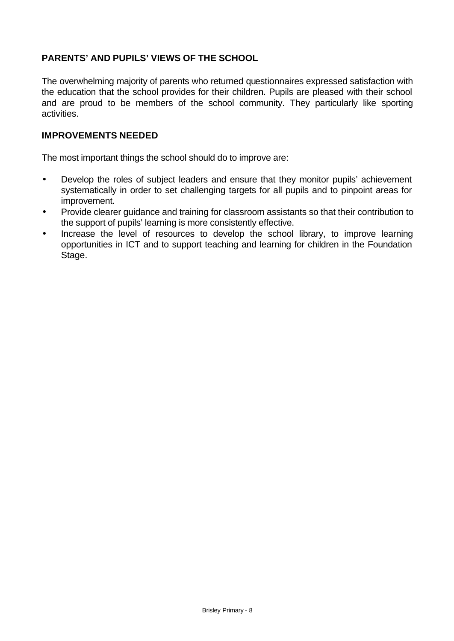# **PARENTS' AND PUPILS' VIEWS OF THE SCHOOL**

The overwhelming majority of parents who returned questionnaires expressed satisfaction with the education that the school provides for their children. Pupils are pleased with their school and are proud to be members of the school community. They particularly like sporting activities.

### **IMPROVEMENTS NEEDED**

The most important things the school should do to improve are:

- Develop the roles of subject leaders and ensure that they monitor pupils' achievement systematically in order to set challenging targets for all pupils and to pinpoint areas for improvement.
- Provide clearer guidance and training for classroom assistants so that their contribution to the support of pupils' learning is more consistently effective.
- Increase the level of resources to develop the school library, to improve learning opportunities in ICT and to support teaching and learning for children in the Foundation Stage.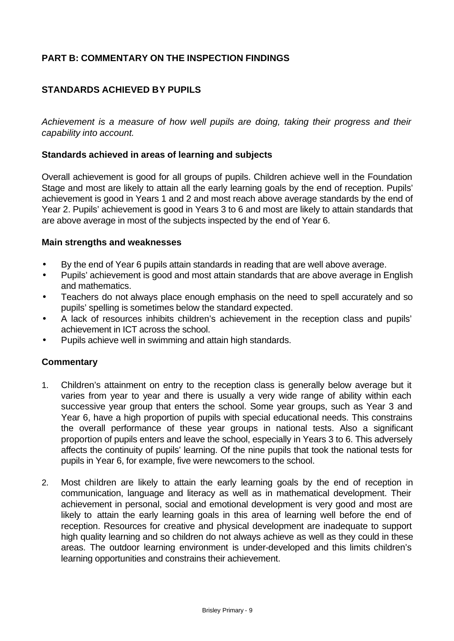# **PART B: COMMENTARY ON THE INSPECTION FINDINGS**

# **STANDARDS ACHIEVED BY PUPILS**

*Achievement is a measure of how well pupils are doing, taking their progress and their capability into account.*

### **Standards achieved in areas of learning and subjects**

Overall achievement is good for all groups of pupils. Children achieve well in the Foundation Stage and most are likely to attain all the early learning goals by the end of reception. Pupils' achievement is good in Years 1 and 2 and most reach above average standards by the end of Year 2. Pupils' achievement is good in Years 3 to 6 and most are likely to attain standards that are above average in most of the subjects inspected by the end of Year 6.

### **Main strengths and weaknesses**

- By the end of Year 6 pupils attain standards in reading that are well above average.
- Pupils' achievement is good and most attain standards that are above average in English and mathematics.
- Teachers do not always place enough emphasis on the need to spell accurately and so pupils' spelling is sometimes below the standard expected.
- A lack of resources inhibits children's achievement in the reception class and pupils' achievement in ICT across the school.
- Pupils achieve well in swimming and attain high standards.

- 1. Children's attainment on entry to the reception class is generally below average but it varies from year to year and there is usually a very wide range of ability within each successive year group that enters the school. Some year groups, such as Year 3 and Year 6, have a high proportion of pupils with special educational needs. This constrains the overall performance of these year groups in national tests. Also a significant proportion of pupils enters and leave the school, especially in Years 3 to 6. This adversely affects the continuity of pupils' learning. Of the nine pupils that took the national tests for pupils in Year 6, for example, five were newcomers to the school.
- 2. Most children are likely to attain the early learning goals by the end of reception in communication, language and literacy as well as in mathematical development. Their achievement in personal, social and emotional development is very good and most are likely to attain the early learning goals in this area of learning well before the end of reception. Resources for creative and physical development are inadequate to support high quality learning and so children do not always achieve as well as they could in these areas. The outdoor learning environment is under-developed and this limits children's learning opportunities and constrains their achievement.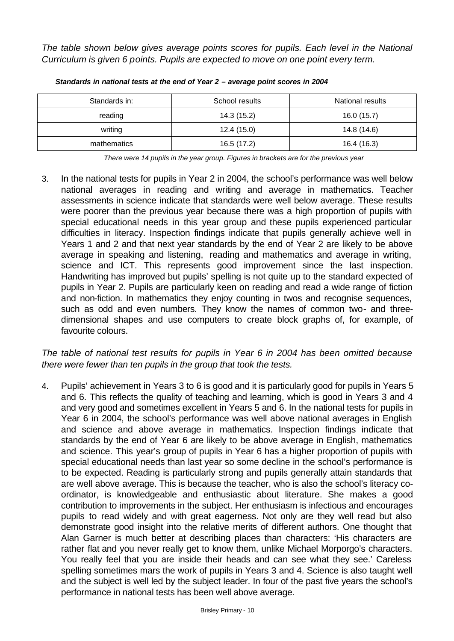*The table shown below gives average points scores for pupils. Each level in the National Curriculum is given 6 points. Pupils are expected to move on one point every term.*

| Standards in: | School results | National results |
|---------------|----------------|------------------|
| reading       | 14.3 (15.2)    | 16.0 (15.7)      |
| writing       | 12.4(15.0)     | 14.8 (14.6)      |
| mathematics   | 16.5 (17.2)    | 16.4 (16.3)      |

*Standards in national tests at the end of Year 2 – average point scores in 2004*

*There were 14 pupils in the year group. Figures in brackets are for the previous year* 

3. In the national tests for pupils in Year 2 in 2004, the school's performance was well below national averages in reading and writing and average in mathematics. Teacher assessments in science indicate that standards were well below average. These results were poorer than the previous year because there was a high proportion of pupils with special educational needs in this year group and these pupils experienced particular difficulties in literacy. Inspection findings indicate that pupils generally achieve well in Years 1 and 2 and that next year standards by the end of Year 2 are likely to be above average in speaking and listening, reading and mathematics and average in writing, science and ICT. This represents good improvement since the last inspection. Handwriting has improved but pupils' spelling is not quite up to the standard expected of pupils in Year 2. Pupils are particularly keen on reading and read a wide range of fiction and non-fiction. In mathematics they enjoy counting in twos and recognise sequences, such as odd and even numbers. They know the names of common two- and threedimensional shapes and use computers to create block graphs of, for example, of favourite colours.

*The table of national test results for pupils in Year 6 in 2004 has been omitted because there were fewer than ten pupils in the group that took the tests.* 

4. Pupils' achievement in Years 3 to 6 is good and it is particularly good for pupils in Years 5 and 6. This reflects the quality of teaching and learning, which is good in Years 3 and 4 and very good and sometimes excellent in Years 5 and 6. In the national tests for pupils in Year 6 in 2004, the school's performance was well above national averages in English and science and above average in mathematics. Inspection findings indicate that standards by the end of Year 6 are likely to be above average in English, mathematics and science. This year's group of pupils in Year 6 has a higher proportion of pupils with special educational needs than last year so some decline in the school's performance is to be expected. Reading is particularly strong and pupils generally attain standards that are well above average. This is because the teacher, who is also the school's literacy coordinator, is knowledgeable and enthusiastic about literature. She makes a good contribution to improvements in the subject. Her enthusiasm is infectious and encourages pupils to read widely and with great eagerness. Not only are they well read but also demonstrate good insight into the relative merits of different authors. One thought that Alan Garner is much better at describing places than characters: 'His characters are rather flat and you never really get to know them, unlike Michael Morporgo's characters. You really feel that you are inside their heads and can see what they see.' Careless spelling sometimes mars the work of pupils in Years 3 and 4. Science is also taught well and the subject is well led by the subject leader. In four of the past five years the school's performance in national tests has been well above average.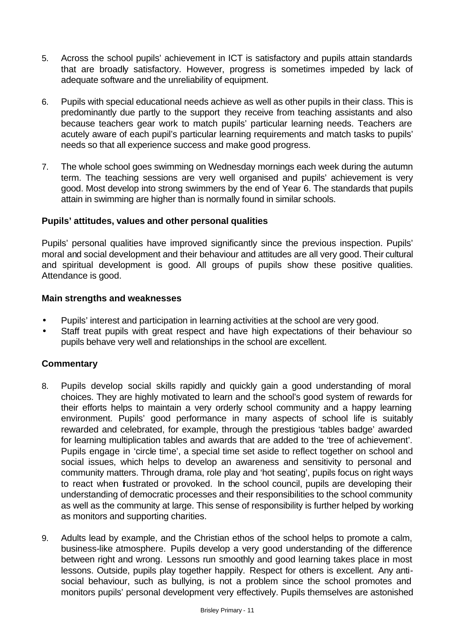- 5. Across the school pupils' achievement in ICT is satisfactory and pupils attain standards that are broadly satisfactory. However, progress is sometimes impeded by lack of adequate software and the unreliability of equipment.
- 6. Pupils with special educational needs achieve as well as other pupils in their class. This is predominantly due partly to the support they receive from teaching assistants and also because teachers gear work to match pupils' particular learning needs. Teachers are acutely aware of each pupil's particular learning requirements and match tasks to pupils' needs so that all experience success and make good progress.
- 7. The whole school goes swimming on Wednesday mornings each week during the autumn term. The teaching sessions are very well organised and pupils' achievement is very good. Most develop into strong swimmers by the end of Year 6. The standards that pupils attain in swimming are higher than is normally found in similar schools.

## **Pupils' attitudes, values and other personal qualities**

Pupils' personal qualities have improved significantly since the previous inspection. Pupils' moral and social development and their behaviour and attitudes are all very good. Their cultural and spiritual development is good. All groups of pupils show these positive qualities. Attendance is good.

### **Main strengths and weaknesses**

- Pupils' interest and participation in learning activities at the school are very good.
- Staff treat pupils with great respect and have high expectations of their behaviour so pupils behave very well and relationships in the school are excellent.

- 8. Pupils develop social skills rapidly and quickly gain a good understanding of moral choices. They are highly motivated to learn and the school's good system of rewards for their efforts helps to maintain a very orderly school community and a happy learning environment. Pupils' good performance in many aspects of school life is suitably rewarded and celebrated, for example, through the prestigious 'tables badge' awarded for learning multiplication tables and awards that are added to the 'tree of achievement'. Pupils engage in 'circle time', a special time set aside to reflect together on school and social issues, which helps to develop an awareness and sensitivity to personal and community matters. Through drama, role play and 'hot seating', pupils focus on right ways to react when frustrated or provoked. In the school council, pupils are developing their understanding of democratic processes and their responsibilities to the school community as well as the community at large. This sense of responsibility is further helped by working as monitors and supporting charities.
- 9. Adults lead by example, and the Christian ethos of the school helps to promote a calm, business-like atmosphere. Pupils develop a very good understanding of the difference between right and wrong. Lessons run smoothly and good learning takes place in most lessons. Outside, pupils play together happily. Respect for others is excellent. Any antisocial behaviour, such as bullying, is not a problem since the school promotes and monitors pupils' personal development very effectively. Pupils themselves are astonished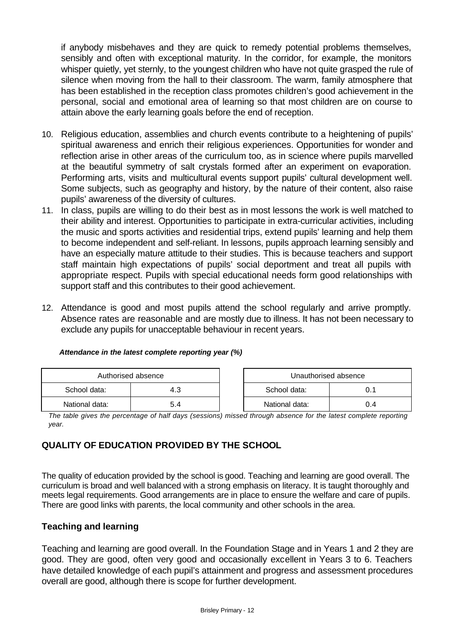if anybody misbehaves and they are quick to remedy potential problems themselves, sensibly and often with exceptional maturity. In the corridor, for example, the monitors whisper quietly, yet sternly, to the youngest children who have not quite grasped the rule of silence when moving from the hall to their classroom. The warm, family atmosphere that has been established in the reception class promotes children's good achievement in the personal, social and emotional area of learning so that most children are on course to attain above the early learning goals before the end of reception.

- 10. Religious education, assemblies and church events contribute to a heightening of pupils' spiritual awareness and enrich their religious experiences. Opportunities for wonder and reflection arise in other areas of the curriculum too, as in science where pupils marvelled at the beautiful symmetry of salt crystals formed after an experiment on evaporation. Performing arts, visits and multicultural events support pupils' cultural development well. Some subjects, such as geography and history, by the nature of their content, also raise pupils' awareness of the diversity of cultures.
- 11. In class, pupils are willing to do their best as in most lessons the work is well matched to their ability and interest. Opportunities to participate in extra-curricular activities, including the music and sports activities and residential trips, extend pupils' learning and help them to become independent and self-reliant. In lessons, pupils approach learning sensibly and have an especially mature attitude to their studies. This is because teachers and support staff maintain high expectations of pupils' social deportment and treat all pupils with appropriate respect. Pupils with special educational needs form good relationships with support staff and this contributes to their good achievement.
- 12. Attendance is good and most pupils attend the school regularly and arrive promptly. Absence rates are reasonable and are mostly due to illness. It has not been necessary to exclude any pupils for unacceptable behaviour in recent years.

| Authorised absence |     | Unauthorised absence |     |
|--------------------|-----|----------------------|-----|
| School data:       | 4.3 | School data:         |     |
| National data:     | 5.4 | National data:       | 0.4 |

### *Attendance in the latest complete reporting year (%)*

*The table gives the percentage of half days (sessions) missed through absence for the latest complete reporting year.* 

# **QUALITY OF EDUCATION PROVIDED BY THE SCHOOL**

The quality of education provided by the school is good. Teaching and learning are good overall. The curriculum is broad and well balanced with a strong emphasis on literacy. It is taught thoroughly and meets legal requirements. Good arrangements are in place to ensure the welfare and care of pupils. There are good links with parents, the local community and other schools in the area.

### **Teaching and learning**

Teaching and learning are good overall. In the Foundation Stage and in Years 1 and 2 they are good. They are good, often very good and occasionally excellent in Years 3 to 6. Teachers have detailed knowledge of each pupil's attainment and progress and assessment procedures overall are good, although there is scope for further development.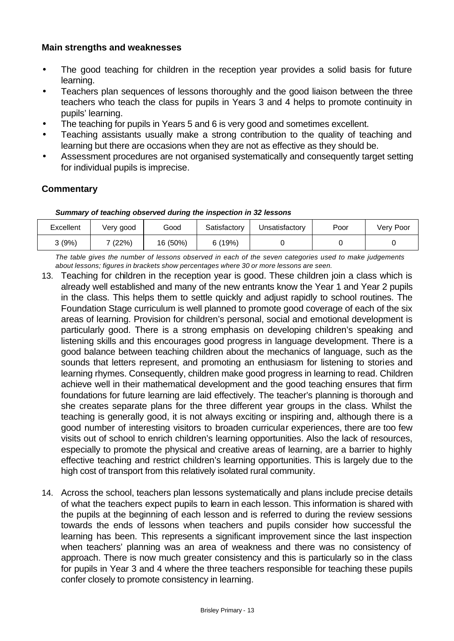### **Main strengths and weaknesses**

- The good teaching for children in the reception year provides a solid basis for future learning.
- Teachers plan sequences of lessons thoroughly and the good liaison between the three teachers who teach the class for pupils in Years 3 and 4 helps to promote continuity in pupils' learning.
- The teaching for pupils in Years 5 and 6 is very good and sometimes excellent.
- Teaching assistants usually make a strong contribution to the quality of teaching and learning but there are occasions when they are not as effective as they should be.
- Assessment procedures are not organised systematically and consequently target setting for individual pupils is imprecise.

### **Commentary**

#### *Summary of teaching observed during the inspection in 32 lessons*

| Excellent | Verv good | Good     | Satisfactory | Jnsatisfactory | Poor | Verv Poor |
|-----------|-----------|----------|--------------|----------------|------|-----------|
| კ (9%)    | (22%)     | 16 (50%) | (19%)        |                |      |           |

*The table gives the number of lessons observed in each of the seven categories used to make judgements about lessons; figures in brackets show percentages where 30 or more lessons are seen.*

- 13. Teaching for children in the reception year is good. These children join a class which is already well established and many of the new entrants know the Year 1 and Year 2 pupils in the class. This helps them to settle quickly and adjust rapidly to school routines. The Foundation Stage curriculum is well planned to promote good coverage of each of the six areas of learning. Provision for children's personal, social and emotional development is particularly good. There is a strong emphasis on developing children's speaking and listening skills and this encourages good progress in language development. There is a good balance between teaching children about the mechanics of language, such as the sounds that letters represent, and promoting an enthusiasm for listening to stories and learning rhymes. Consequently, children make good progress in learning to read. Children achieve well in their mathematical development and the good teaching ensures that firm foundations for future learning are laid effectively. The teacher's planning is thorough and she creates separate plans for the three different year groups in the class. Whilst the teaching is generally good, it is not always exciting or inspiring and, although there is a good number of interesting visitors to broaden curricular experiences, there are too few visits out of school to enrich children's learning opportunities. Also the lack of resources, especially to promote the physical and creative areas of learning, are a barrier to highly effective teaching and restrict children's learning opportunities. This is largely due to the high cost of transport from this relatively isolated rural community.
- 14. Across the school, teachers plan lessons systematically and plans include precise details of what the teachers expect pupils to learn in each lesson. This information is shared with the pupils at the beginning of each lesson and is referred to during the review sessions towards the ends of lessons when teachers and pupils consider how successful the learning has been. This represents a significant improvement since the last inspection when teachers' planning was an area of weakness and there was no consistency of approach. There is now much greater consistency and this is particularly so in the class for pupils in Year 3 and 4 where the three teachers responsible for teaching these pupils confer closely to promote consistency in learning.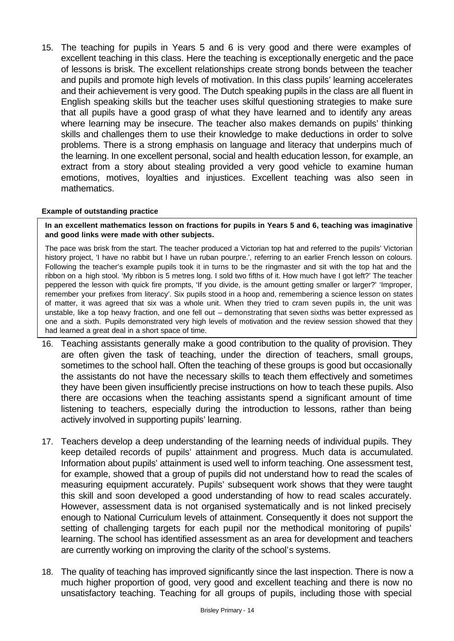15. The teaching for pupils in Years 5 and 6 is very good and there were examples of excellent teaching in this class. Here the teaching is exceptionally energetic and the pace of lessons is brisk. The excellent relationships create strong bonds between the teacher and pupils and promote high levels of motivation. In this class pupils' learning accelerates and their achievement is very good. The Dutch speaking pupils in the class are all fluent in English speaking skills but the teacher uses skilful questioning strategies to make sure that all pupils have a good grasp of what they have learned and to identify any areas where learning may be insecure. The teacher also makes demands on pupils' thinking skills and challenges them to use their knowledge to make deductions in order to solve problems. There is a strong emphasis on language and literacy that underpins much of the learning. In one excellent personal, social and health education lesson, for example, an extract from a story about stealing provided a very good vehicle to examine human emotions, motives, loyalties and injustices. Excellent teaching was also seen in mathematics.

### **Example of outstanding practice**

**In an excellent mathematics lesson on fractions for pupils in Years 5 and 6, teaching was imaginative and good links were made with other subjects.** 

The pace was brisk from the start. The teacher produced a Victorian top hat and referred to the pupils' Victorian history project, 'I have no rabbit but I have un ruban pourpre.', referring to an earlier French lesson on colours. Following the teacher's example pupils took it in turns to be the ringmaster and sit with the top hat and the ribbon on a high stool. 'My ribbon is 5 metres long. I sold two fifths of it. How much have I got left?' The teacher peppered the lesson with quick fire prompts, 'If you divide, is the amount getting smaller or larger?' 'Improper, remember your prefixes from literacy'. Six pupils stood in a hoop and, remembering a science lesson on states of matter, it was agreed that six was a whole unit. When they tried to cram seven pupils in, the unit was unstable, like a top heavy fraction, and one fell out – demonstrating that seven sixths was better expressed as one and a sixth. Pupils demonstrated very high levels of motivation and the review session showed that they had learned a great deal in a short space of time.

- 16. Teaching assistants generally make a good contribution to the quality of provision. They are often given the task of teaching, under the direction of teachers, small groups, sometimes to the school hall. Often the teaching of these groups is good but occasionally the assistants do not have the necessary skills to teach them effectively and sometimes they have been given insufficiently precise instructions on how to teach these pupils. Also there are occasions when the teaching assistants spend a significant amount of time listening to teachers, especially during the introduction to lessons, rather than being actively involved in supporting pupils' learning.
- 17. Teachers develop a deep understanding of the learning needs of individual pupils. They keep detailed records of pupils' attainment and progress. Much data is accumulated. Information about pupils' attainment is used well to inform teaching. One assessment test, for example, showed that a group of pupils did not understand how to read the scales of measuring equipment accurately. Pupils' subsequent work shows that they were taught this skill and soon developed a good understanding of how to read scales accurately. However, assessment data is not organised systematically and is not linked precisely enough to National Curriculum levels of attainment. Consequently it does not support the setting of challenging targets for each pupil nor the methodical monitoring of pupils' learning. The school has identified assessment as an area for development and teachers are currently working on improving the clarity of the school's systems.
- 18. The quality of teaching has improved significantly since the last inspection. There is now a much higher proportion of good, very good and excellent teaching and there is now no unsatisfactory teaching. Teaching for all groups of pupils, including those with special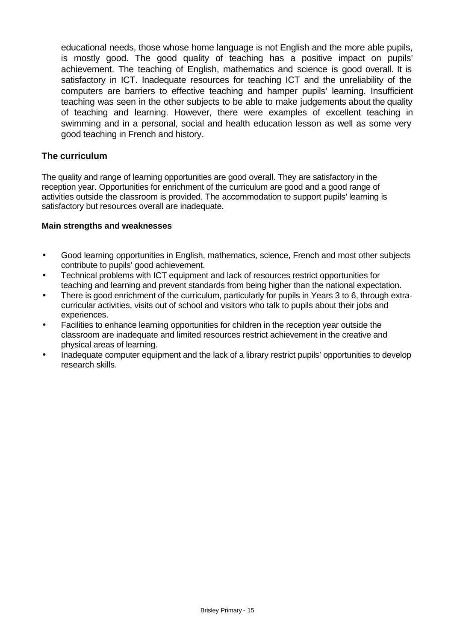educational needs, those whose home language is not English and the more able pupils, is mostly good. The good quality of teaching has a positive impact on pupils' achievement. The teaching of English, mathematics and science is good overall. It is satisfactory in ICT. Inadequate resources for teaching ICT and the unreliability of the computers are barriers to effective teaching and hamper pupils' learning. Insufficient teaching was seen in the other subjects to be able to make judgements about the quality of teaching and learning. However, there were examples of excellent teaching in swimming and in a personal, social and health education lesson as well as some very good teaching in French and history.

## **The curriculum**

The quality and range of learning opportunities are good overall. They are satisfactory in the reception year. Opportunities for enrichment of the curriculum are good and a good range of activities outside the classroom is provided. The accommodation to support pupils' learning is satisfactory but resources overall are inadequate.

### **Main strengths and weaknesses**

- Good learning opportunities in English, mathematics, science, French and most other subjects contribute to pupils' good achievement.
- Technical problems with ICT equipment and lack of resources restrict opportunities for teaching and learning and prevent standards from being higher than the national expectation.
- There is good enrichment of the curriculum, particularly for pupils in Years 3 to 6, through extracurricular activities, visits out of school and visitors who talk to pupils about their jobs and experiences.
- Facilities to enhance learning opportunities for children in the reception year outside the classroom are inadequate and limited resources restrict achievement in the creative and physical areas of learning.
- Inadequate computer equipment and the lack of a library restrict pupils' opportunities to develop research skills.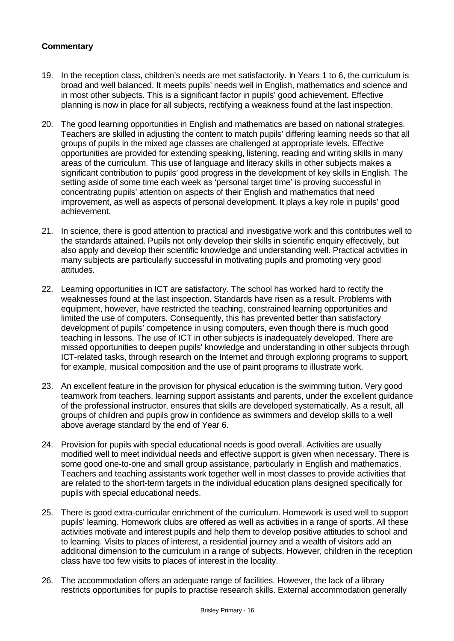- 19. In the reception class, children's needs are met satisfactorily. In Years 1 to 6, the curriculum is broad and well balanced. It meets pupils' needs well in English, mathematics and science and in most other subjects. This is a significant factor in pupils' good achievement. Effective planning is now in place for all subjects, rectifying a weakness found at the last inspection.
- 20. The good learning opportunities in English and mathematics are based on national strategies. Teachers are skilled in adjusting the content to match pupils' differing learning needs so that all groups of pupils in the mixed age classes are challenged at appropriate levels. Effective opportunities are provided for extending speaking, listening, reading and writing skills in many areas of the curriculum. This use of language and literacy skills in other subjects makes a significant contribution to pupils' good progress in the development of key skills in English. The setting aside of some time each week as 'personal target time' is proving successful in concentrating pupils' attention on aspects of their English and mathematics that need improvement, as well as aspects of personal development. It plays a key role in pupils' good achievement.
- 21. In science, there is good attention to practical and investigative work and this contributes well to the standards attained. Pupils not only develop their skills in scientific enquiry effectively, but also apply and develop their scientific knowledge and understanding well. Practical activities in many subjects are particularly successful in motivating pupils and promoting very good attitudes.
- 22. Learning opportunities in ICT are satisfactory. The school has worked hard to rectify the weaknesses found at the last inspection. Standards have risen as a result. Problems with equipment, however, have restricted the teaching, constrained learning opportunities and limited the use of computers. Consequently, this has prevented better than satisfactory development of pupils' competence in using computers, even though there is much good teaching in lessons. The use of ICT in other subjects is inadequately developed. There are missed opportunities to deepen pupils' knowledge and understanding in other subjects through ICT-related tasks, through research on the Internet and through exploring programs to support, for example, musical composition and the use of paint programs to illustrate work.
- 23. An excellent feature in the provision for physical education is the swimming tuition. Very good teamwork from teachers, learning support assistants and parents, under the excellent guidance of the professional instructor, ensures that skills are developed systematically. As a result, all groups of children and pupils grow in confidence as swimmers and develop skills to a well above average standard by the end of Year 6.
- 24. Provision for pupils with special educational needs is good overall. Activities are usually modified well to meet individual needs and effective support is given when necessary. There is some good one-to-one and small group assistance, particularly in English and mathematics. Teachers and teaching assistants work together well in most classes to provide activities that are related to the short-term targets in the individual education plans designed specifically for pupils with special educational needs.
- 25. There is good extra-curricular enrichment of the curriculum. Homework is used well to support pupils' learning. Homework clubs are offered as well as activities in a range of sports. All these activities motivate and interest pupils and help them to develop positive attitudes to school and to learning. Visits to places of interest, a residential journey and a wealth of visitors add an additional dimension to the curriculum in a range of subjects. However, children in the reception class have too few visits to places of interest in the locality.
- 26. The accommodation offers an adequate range of facilities. However, the lack of a library restricts opportunities for pupils to practise research skills. External accommodation generally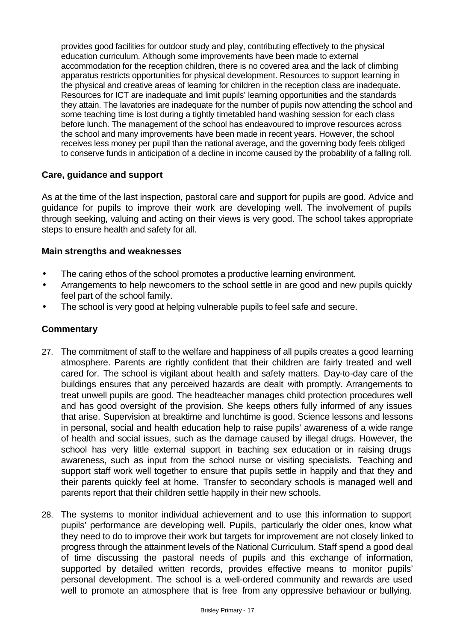provides good facilities for outdoor study and play, contributing effectively to the physical education curriculum. Although some improvements have been made to external accommodation for the reception children, there is no covered area and the lack of climbing apparatus restricts opportunities for physical development. Resources to support learning in the physical and creative areas of learning for children in the reception class are inadequate. Resources for ICT are inadequate and limit pupils' learning opportunities and the standards they attain. The lavatories are inadequate for the number of pupils now attending the school and some teaching time is lost during a tightly timetabled hand washing session for each class before lunch. The management of the school has endeavoured to improve resources across the school and many improvements have been made in recent years. However, the school receives less money per pupil than the national average, and the governing body feels obliged to conserve funds in anticipation of a decline in income caused by the probability of a falling roll.

### **Care, guidance and support**

As at the time of the last inspection, pastoral care and support for pupils are good. Advice and guidance for pupils to improve their work are developing well. The involvement of pupils through seeking, valuing and acting on their views is very good. The school takes appropriate steps to ensure health and safety for all.

### **Main strengths and weaknesses**

- The caring ethos of the school promotes a productive learning environment.
- Arrangements to help newcomers to the school settle in are good and new pupils quickly feel part of the school family.
- The school is very good at helping vulnerable pupils to feel safe and secure.

- 27. The commitment of staff to the welfare and happiness of all pupils creates a good learning atmosphere. Parents are rightly confident that their children are fairly treated and well cared for. The school is vigilant about health and safety matters. Day-to-day care of the buildings ensures that any perceived hazards are dealt with promptly. Arrangements to treat unwell pupils are good. The headteacher manages child protection procedures well and has good oversight of the provision. She keeps others fully informed of any issues that arise. Supervision at breaktime and lunchtime is good. Science lessons and lessons in personal, social and health education help to raise pupils' awareness of a wide range of health and social issues, such as the damage caused by illegal drugs. However, the school has very little external support in teaching sex education or in raising drugs awareness, such as input from the school nurse or visiting specialists. Teaching and support staff work well together to ensure that pupils settle in happily and that they and their parents quickly feel at home. Transfer to secondary schools is managed well and parents report that their children settle happily in their new schools.
- 28. The systems to monitor individual achievement and to use this information to support pupils' performance are developing well. Pupils, particularly the older ones, know what they need to do to improve their work but targets for improvement are not closely linked to progress through the attainment levels of the National Curriculum. Staff spend a good deal of time discussing the pastoral needs of pupils and this exchange of information, supported by detailed written records, provides effective means to monitor pupils' personal development. The school is a well-ordered community and rewards are used well to promote an atmosphere that is free from any oppressive behaviour or bullying.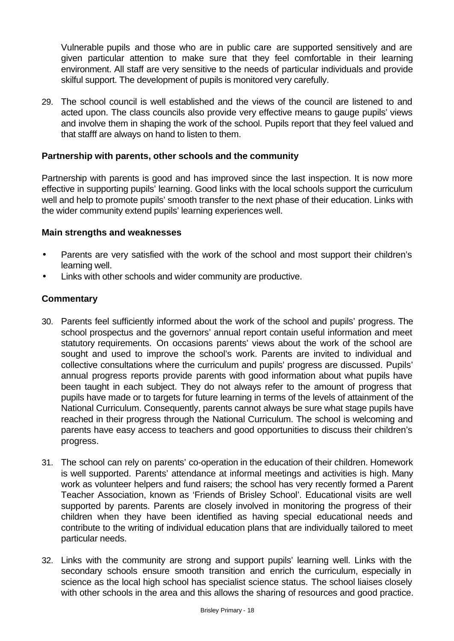Vulnerable pupils and those who are in public care are supported sensitively and are given particular attention to make sure that they feel comfortable in their learning environment. All staff are very sensitive to the needs of particular individuals and provide skilful support. The development of pupils is monitored very carefully.

29. The school council is well established and the views of the council are listened to and acted upon. The class councils also provide very effective means to gauge pupils' views and involve them in shaping the work of the school. Pupils report that they feel valued and that stafff are always on hand to listen to them.

## **Partnership with parents, other schools and the community**

Partnership with parents is good and has improved since the last inspection. It is now more effective in supporting pupils' learning. Good links with the local schools support the curriculum well and help to promote pupils' smooth transfer to the next phase of their education. Links with the wider community extend pupils' learning experiences well.

### **Main strengths and weaknesses**

- Parents are very satisfied with the work of the school and most support their children's learning well.
- Links with other schools and wider community are productive.

- 30. Parents feel sufficiently informed about the work of the school and pupils' progress. The school prospectus and the governors' annual report contain useful information and meet statutory requirements. On occasions parents' views about the work of the school are sought and used to improve the school's work. Parents are invited to individual and collective consultations where the curriculum and pupils' progress are discussed. Pupils' annual progress reports provide parents with good information about what pupils have been taught in each subject. They do not always refer to the amount of progress that pupils have made or to targets for future learning in terms of the levels of attainment of the National Curriculum. Consequently, parents cannot always be sure what stage pupils have reached in their progress through the National Curriculum. The school is welcoming and parents have easy access to teachers and good opportunities to discuss their children's progress.
- 31. The school can rely on parents' co-operation in the education of their children. Homework is well supported. Parents' attendance at informal meetings and activities is high. Many work as volunteer helpers and fund raisers; the school has very recently formed a Parent Teacher Association, known as 'Friends of Brisley School'. Educational visits are well supported by parents. Parents are closely involved in monitoring the progress of their children when they have been identified as having special educational needs and contribute to the writing of individual education plans that are individually tailored to meet particular needs.
- 32. Links with the community are strong and support pupils' learning well. Links with the secondary schools ensure smooth transition and enrich the curriculum, especially in science as the local high school has specialist science status. The school liaises closely with other schools in the area and this allows the sharing of resources and good practice.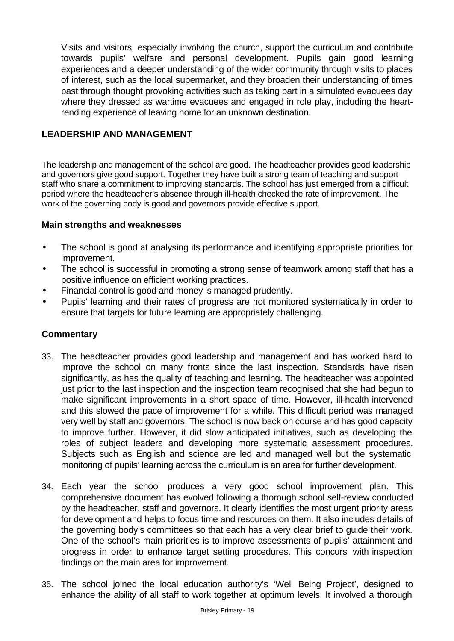Visits and visitors, especially involving the church, support the curriculum and contribute towards pupils' welfare and personal development. Pupils gain good learning experiences and a deeper understanding of the wider community through visits to places of interest, such as the local supermarket, and they broaden their understanding of times past through thought provoking activities such as taking part in a simulated evacuees day where they dressed as wartime evacuees and engaged in role play, including the heartrending experience of leaving home for an unknown destination.

## **LEADERSHIP AND MANAGEMENT**

The leadership and management of the school are good. The headteacher provides good leadership and governors give good support. Together they have built a strong team of teaching and support staff who share a commitment to improving standards. The school has just emerged from a difficult period where the headteacher's absence through ill-health checked the rate of improvement. The work of the governing body is good and governors provide effective support.

### **Main strengths and weaknesses**

- The school is good at analysing its performance and identifying appropriate priorities for improvement.
- The school is successful in promoting a strong sense of teamwork among staff that has a positive influence on efficient working practices.
- Financial control is good and money is managed prudently.
- Pupils' learning and their rates of progress are not monitored systematically in order to ensure that targets for future learning are appropriately challenging.

- 33. The headteacher provides good leadership and management and has worked hard to improve the school on many fronts since the last inspection. Standards have risen significantly, as has the quality of teaching and learning. The headteacher was appointed just prior to the last inspection and the inspection team recognised that she had begun to make significant improvements in a short space of time. However, ill-health intervened and this slowed the pace of improvement for a while. This difficult period was managed very well by staff and governors. The school is now back on course and has good capacity to improve further. However, it did slow anticipated initiatives, such as developing the roles of subject leaders and developing more systematic assessment procedures. Subjects such as English and science are led and managed well but the systematic monitoring of pupils' learning across the curriculum is an area for further development.
- 34. Each year the school produces a very good school improvement plan. This comprehensive document has evolved following a thorough school self-review conducted by the headteacher, staff and governors. It clearly identifies the most urgent priority areas for development and helps to focus time and resources on them. It also includes details of the governing body's committees so that each has a very clear brief to guide their work. One of the school's main priorities is to improve assessments of pupils' attainment and progress in order to enhance target setting procedures. This concurs with inspection findings on the main area for improvement.
- 35. The school joined the local education authority's 'Well Being Project', designed to enhance the ability of all staff to work together at optimum levels. It involved a thorough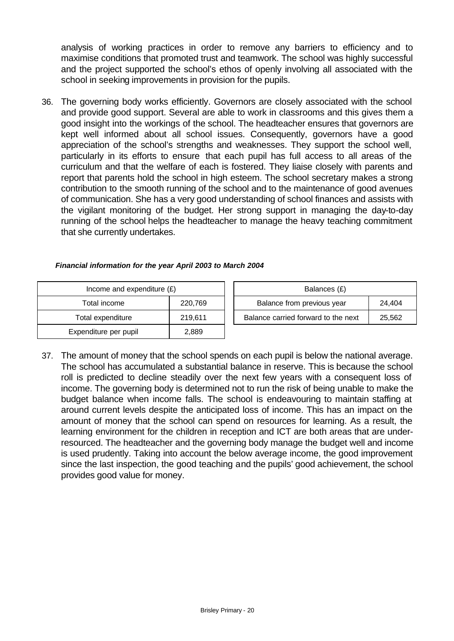analysis of working practices in order to remove any barriers to efficiency and to maximise conditions that promoted trust and teamwork. The school was highly successful and the project supported the school's ethos of openly involving all associated with the school in seeking improvements in provision for the pupils.

36. The governing body works efficiently. Governors are closely associated with the school and provide good support. Several are able to work in classrooms and this gives them a good insight into the workings of the school. The headteacher ensures that governors are kept well informed about all school issues. Consequently, governors have a good appreciation of the school's strengths and weaknesses. They support the school well, particularly in its efforts to ensure that each pupil has full access to all areas of the curriculum and that the welfare of each is fostered. They liaise closely with parents and report that parents hold the school in high esteem. The school secretary makes a strong contribution to the smooth running of the school and to the maintenance of good avenues of communication. She has a very good understanding of school finances and assists with the vigilant monitoring of the budget. Her strong support in managing the day-to-day running of the school helps the headteacher to manage the heavy teaching commitment that she currently undertakes.

### *Financial information for the year April 2003 to March 2004*

| Income and expenditure $(E)$ |         |  | Balances (£)                   |
|------------------------------|---------|--|--------------------------------|
| Total income<br>220,769      |         |  | Balance from previous year     |
| Total expenditure            | 219,611 |  | Balance carried forward to the |
| Expenditure per pupil        | 2,889   |  |                                |

| Income and expenditure $(E)$ |         |                                     | Balances (£)               |        |
|------------------------------|---------|-------------------------------------|----------------------------|--------|
| Total income                 | 220.769 |                                     | Balance from previous year | 24.404 |
| Total expenditure            | 219.611 | Balance carried forward to the next |                            | 25,562 |

37. The amount of money that the school spends on each pupil is below the national average. The school has accumulated a substantial balance in reserve. This is because the school roll is predicted to decline steadily over the next few years with a consequent loss of income. The governing body is determined not to run the risk of being unable to make the budget balance when income falls. The school is endeavouring to maintain staffing at around current levels despite the anticipated loss of income. This has an impact on the amount of money that the school can spend on resources for learning. As a result, the learning environment for the children in reception and ICT are both areas that are underresourced. The headteacher and the governing body manage the budget well and income is used prudently. Taking into account the below average income, the good improvement since the last inspection, the good teaching and the pupils' good achievement, the school provides good value for money.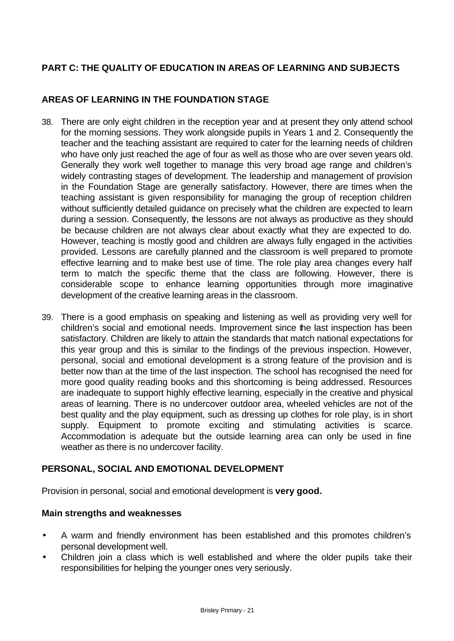# **PART C: THE QUALITY OF EDUCATION IN AREAS OF LEARNING AND SUBJECTS**

## **AREAS OF LEARNING IN THE FOUNDATION STAGE**

- 38. There are only eight children in the reception year and at present they only attend school for the morning sessions. They work alongside pupils in Years 1 and 2. Consequently the teacher and the teaching assistant are required to cater for the learning needs of children who have only just reached the age of four as well as those who are over seven years old. Generally they work well together to manage this very broad age range and children's widely contrasting stages of development. The leadership and management of provision in the Foundation Stage are generally satisfactory. However, there are times when the teaching assistant is given responsibility for managing the group of reception children without sufficiently detailed guidance on precisely what the children are expected to learn during a session. Consequently, the lessons are not always as productive as they should be because children are not always clear about exactly what they are expected to do. However, teaching is mostly good and children are always fully engaged in the activities provided. Lessons are carefully planned and the classroom is well prepared to promote effective learning and to make best use of time. The role play area changes every half term to match the specific theme that the class are following. However, there is considerable scope to enhance learning opportunities through more imaginative development of the creative learning areas in the classroom.
- 39. There is a good emphasis on speaking and listening as well as providing very well for children's social and emotional needs. Improvement since the last inspection has been satisfactory. Children are likely to attain the standards that match national expectations for this year group and this is similar to the findings of the previous inspection. However, personal, social and emotional development is a strong feature of the provision and is better now than at the time of the last inspection. The school has recognised the need for more good quality reading books and this shortcoming is being addressed. Resources are inadequate to support highly effective learning, especially in the creative and physical areas of learning. There is no undercover outdoor area, wheeled vehicles are not of the best quality and the play equipment, such as dressing up clothes for role play, is in short supply. Equipment to promote exciting and stimulating activities is scarce. Accommodation is adequate but the outside learning area can only be used in fine weather as there is no undercover facility.

### **PERSONAL, SOCIAL AND EMOTIONAL DEVELOPMENT**

Provision in personal, social and emotional development is **very good.**

### **Main strengths and weaknesses**

- A warm and friendly environment has been established and this promotes children's personal development well.
- Children join a class which is well established and where the older pupils take their responsibilities for helping the younger ones very seriously.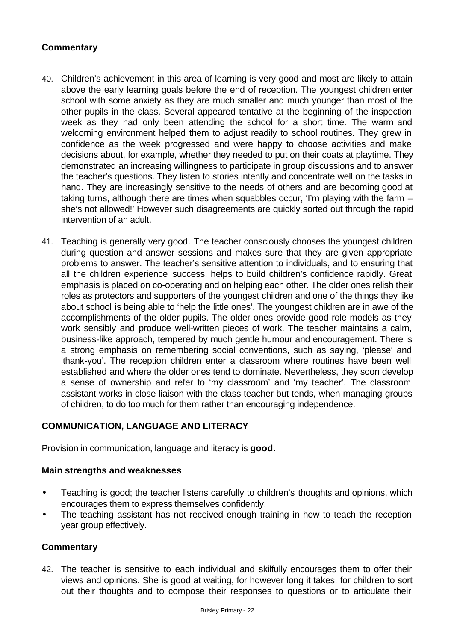## **Commentary**

- 40. Children's achievement in this area of learning is very good and most are likely to attain above the early learning goals before the end of reception. The youngest children enter school with some anxiety as they are much smaller and much younger than most of the other pupils in the class. Several appeared tentative at the beginning of the inspection week as they had only been attending the school for a short time. The warm and welcoming environment helped them to adjust readily to school routines. They grew in confidence as the week progressed and were happy to choose activities and make decisions about, for example, whether they needed to put on their coats at playtime. They demonstrated an increasing willingness to participate in group discussions and to answer the teacher's questions. They listen to stories intently and concentrate well on the tasks in hand. They are increasingly sensitive to the needs of others and are becoming good at taking turns, although there are times when squabbles occur, 'I'm playing with the farm – she's not allowed!' However such disagreements are quickly sorted out through the rapid intervention of an adult.
- 41. Teaching is generally very good. The teacher consciously chooses the youngest children during question and answer sessions and makes sure that they are given appropriate problems to answer. The teacher's sensitive attention to individuals, and to ensuring that all the children experience success, helps to build children's confidence rapidly. Great emphasis is placed on co-operating and on helping each other. The older ones relish their roles as protectors and supporters of the youngest children and one of the things they like about school is being able to 'help the little ones'. The youngest children are in awe of the accomplishments of the older pupils. The older ones provide good role models as they work sensibly and produce well-written pieces of work. The teacher maintains a calm, business-like approach, tempered by much gentle humour and encouragement. There is a strong emphasis on remembering social conventions, such as saying, 'please' and 'thank-you'. The reception children enter a classroom where routines have been well established and where the older ones tend to dominate. Nevertheless, they soon develop a sense of ownership and refer to 'my classroom' and 'my teacher'. The classroom assistant works in close liaison with the class teacher but tends, when managing groups of children, to do too much for them rather than encouraging independence.

## **COMMUNICATION, LANGUAGE AND LITERACY**

Provision in communication, language and literacy is **good.**

### **Main strengths and weaknesses**

- Teaching is good; the teacher listens carefully to children's thoughts and opinions, which encourages them to express themselves confidently.
- The teaching assistant has not received enough training in how to teach the reception year group effectively.

### **Commentary**

42. The teacher is sensitive to each individual and skilfully encourages them to offer their views and opinions. She is good at waiting, for however long it takes, for children to sort out their thoughts and to compose their responses to questions or to articulate their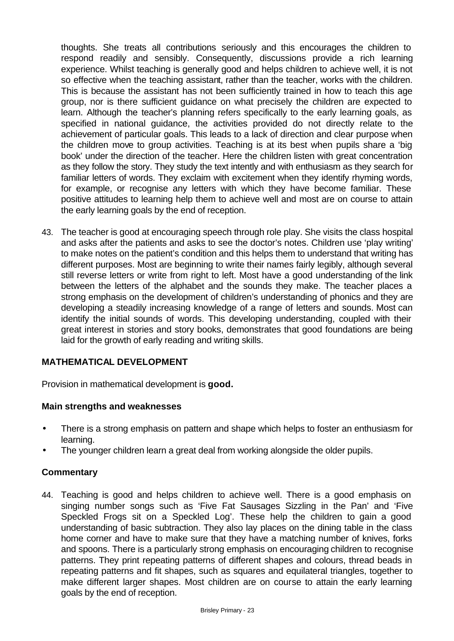thoughts. She treats all contributions seriously and this encourages the children to respond readily and sensibly. Consequently, discussions provide a rich learning experience. Whilst teaching is generally good and helps children to achieve well, it is not so effective when the teaching assistant, rather than the teacher, works with the children. This is because the assistant has not been sufficiently trained in how to teach this age group, nor is there sufficient guidance on what precisely the children are expected to learn. Although the teacher's planning refers specifically to the early learning goals, as specified in national guidance, the activities provided do not directly relate to the achievement of particular goals. This leads to a lack of direction and clear purpose when the children move to group activities. Teaching is at its best when pupils share a 'big book' under the direction of the teacher. Here the children listen with great concentration as they follow the story. They study the text intently and with enthusiasm as they search for familiar letters of words. They exclaim with excitement when they identify rhyming words, for example, or recognise any letters with which they have become familiar. These positive attitudes to learning help them to achieve well and most are on course to attain the early learning goals by the end of reception.

43. The teacher is good at encouraging speech through role play. She visits the class hospital and asks after the patients and asks to see the doctor's notes. Children use 'play writing' to make notes on the patient's condition and this helps them to understand that writing has different purposes. Most are beginning to write their names fairly legibly, although several still reverse letters or write from right to left. Most have a good understanding of the link between the letters of the alphabet and the sounds they make. The teacher places a strong emphasis on the development of children's understanding of phonics and they are developing a steadily increasing knowledge of a range of letters and sounds. Most can identify the initial sounds of words. This developing understanding, coupled with their great interest in stories and story books, demonstrates that good foundations are being laid for the growth of early reading and writing skills.

## **MATHEMATICAL DEVELOPMENT**

Provision in mathematical development is **good.**

### **Main strengths and weaknesses**

- There is a strong emphasis on pattern and shape which helps to foster an enthusiasm for learning.
- The younger children learn a great deal from working alongside the older pupils.

### **Commentary**

44. Teaching is good and helps children to achieve well. There is a good emphasis on singing number songs such as 'Five Fat Sausages Sizzling in the Pan' and 'Five Speckled Frogs sit on a Speckled Log'. These help the children to gain a good understanding of basic subtraction. They also lay places on the dining table in the class home corner and have to make sure that they have a matching number of knives, forks and spoons. There is a particularly strong emphasis on encouraging children to recognise patterns. They print repeating patterns of different shapes and colours, thread beads in repeating patterns and fit shapes, such as squares and equilateral triangles, together to make different larger shapes. Most children are on course to attain the early learning goals by the end of reception.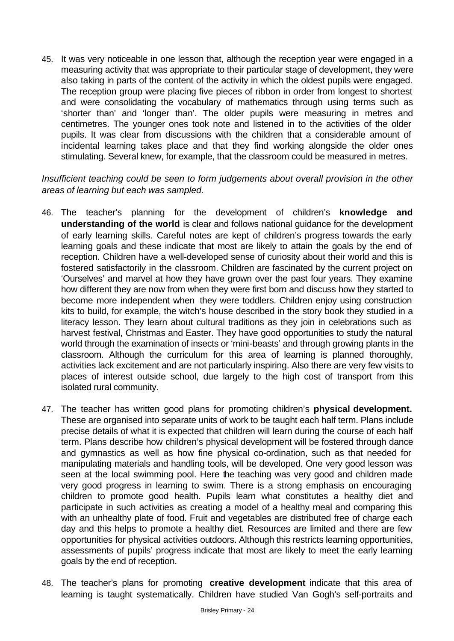45. It was very noticeable in one lesson that, although the reception year were engaged in a measuring activity that was appropriate to their particular stage of development, they were also taking in parts of the content of the activity in which the oldest pupils were engaged. The reception group were placing five pieces of ribbon in order from longest to shortest and were consolidating the vocabulary of mathematics through using terms such as 'shorter than' and 'longer than'. The older pupils were measuring in metres and centimetres. The younger ones took note and listened in to the activities of the older pupils. It was clear from discussions with the children that a considerable amount of incidental learning takes place and that they find working alongside the older ones stimulating. Several knew, for example, that the classroom could be measured in metres.

### *Insufficient teaching could be seen to form judgements about overall provision in the other areas of learning but each was sampled.*

- 46. The teacher's planning for the development of children's **knowledge and understanding of the world** is clear and follows national guidance for the development of early learning skills. Careful notes are kept of children's progress towards the early learning goals and these indicate that most are likely to attain the goals by the end of reception. Children have a well-developed sense of curiosity about their world and this is fostered satisfactorily in the classroom. Children are fascinated by the current project on 'Ourselves' and marvel at how they have grown over the past four years. They examine how different they are now from when they were first born and discuss how they started to become more independent when they were toddlers. Children enjoy using construction kits to build, for example, the witch's house described in the story book they studied in a literacy lesson. They learn about cultural traditions as they join in celebrations such as harvest festival, Christmas and Easter. They have good opportunities to study the natural world through the examination of insects or 'mini-beasts' and through growing plants in the classroom. Although the curriculum for this area of learning is planned thoroughly, activities lack excitement and are not particularly inspiring. Also there are very few visits to places of interest outside school, due largely to the high cost of transport from this isolated rural community.
- 47. The teacher has written good plans for promoting children's **physical development.**  These are organised into separate units of work to be taught each half term. Plans include precise details of what it is expected that children will learn during the course of each half term. Plans describe how children's physical development will be fostered through dance and gymnastics as well as how fine physical co-ordination, such as that needed for manipulating materials and handling tools, will be developed. One very good lesson was seen at the local swimming pool. Here the teaching was very good and children made very good progress in learning to swim. There is a strong emphasis on encouraging children to promote good health. Pupils learn what constitutes a healthy diet and participate in such activities as creating a model of a healthy meal and comparing this with an unhealthy plate of food. Fruit and vegetables are distributed free of charge each day and this helps to promote a healthy diet. Resources are limited and there are few opportunities for physical activities outdoors. Although this restricts learning opportunities, assessments of pupils' progress indicate that most are likely to meet the early learning goals by the end of reception.
- 48. The teacher's plans for promoting **creative development** indicate that this area of learning is taught systematically. Children have studied Van Gogh's self-portraits and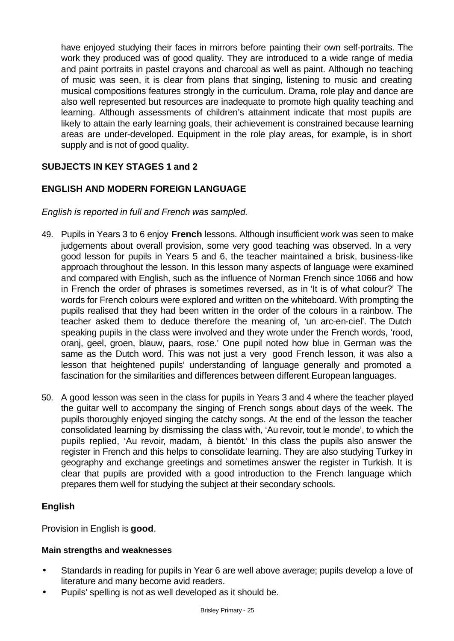have enjoyed studying their faces in mirrors before painting their own self-portraits. The work they produced was of good quality. They are introduced to a wide range of media and paint portraits in pastel crayons and charcoal as well as paint. Although no teaching of music was seen, it is clear from plans that singing, listening to music and creating musical compositions features strongly in the curriculum. Drama, role play and dance are also well represented but resources are inadequate to promote high quality teaching and learning. Although assessments of children's attainment indicate that most pupils are likely to attain the early learning goals, their achievement is constrained because learning areas are under-developed. Equipment in the role play areas, for example, is in short supply and is not of good quality.

# **SUBJECTS IN KEY STAGES 1 and 2**

## **ENGLISH AND MODERN FOREIGN LANGUAGE**

*English is reported in full and French was sampled.*

- 49. Pupils in Years 3 to 6 enjoy **French** lessons. Although insufficient work was seen to make judgements about overall provision, some very good teaching was observed. In a very good lesson for pupils in Years 5 and 6, the teacher maintained a brisk, business-like approach throughout the lesson. In this lesson many aspects of language were examined and compared with English, such as the influence of Norman French since 1066 and how in French the order of phrases is sometimes reversed, as in 'It is of what colour?' The words for French colours were explored and written on the whiteboard. With prompting the pupils realised that they had been written in the order of the colours in a rainbow. The teacher asked them to deduce therefore the meaning of, 'un arc-en-ciel'. The Dutch speaking pupils in the class were involved and they wrote under the French words, 'rood, oranj, geel, groen, blauw, paars, rose.' One pupil noted how blue in German was the same as the Dutch word. This was not just a very good French lesson, it was also a lesson that heightened pupils' understanding of language generally and promoted a fascination for the similarities and differences between different European languages.
- 50. A good lesson was seen in the class for pupils in Years 3 and 4 where the teacher played the guitar well to accompany the singing of French songs about days of the week. The pupils thoroughly enjoyed singing the catchy songs. At the end of the lesson the teacher consolidated learning by dismissing the class with, 'Au revoir, tout le monde', to which the pupils replied, 'Au revoir, madam, à bientôt.' In this class the pupils also answer the register in French and this helps to consolidate learning. They are also studying Turkey in geography and exchange greetings and sometimes answer the register in Turkish. It is clear that pupils are provided with a good introduction to the French language which prepares them well for studying the subject at their secondary schools.

### **English**

Provision in English is **good**.

### **Main strengths and weaknesses**

- Standards in reading for pupils in Year 6 are well above average; pupils develop a love of literature and many become avid readers.
- Pupils' spelling is not as well developed as it should be.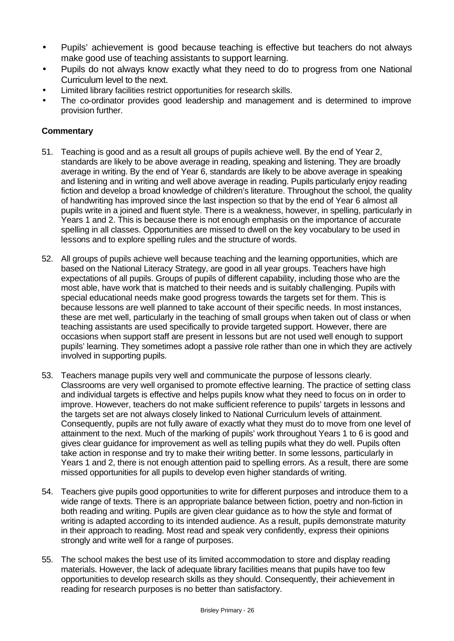- Pupils' achievement is good because teaching is effective but teachers do not always make good use of teaching assistants to support learning.
- Pupils do not always know exactly what they need to do to progress from one National Curriculum level to the next.
- Limited library facilities restrict opportunities for research skills.
- The co-ordinator provides good leadership and management and is determined to improve provision further.

- 51. Teaching is good and as a result all groups of pupils achieve well. By the end of Year 2, standards are likely to be above average in reading, speaking and listening. They are broadly average in writing. By the end of Year 6, standards are likely to be above average in speaking and listening and in writing and well above average in reading. Pupils particularly enjoy reading fiction and develop a broad knowledge of children's literature. Throughout the school, the quality of handwriting has improved since the last inspection so that by the end of Year 6 almost all pupils write in a joined and fluent style. There is a weakness, however, in spelling, particularly in Years 1 and 2. This is because there is not enough emphasis on the importance of accurate spelling in all classes. Opportunities are missed to dwell on the key vocabulary to be used in lessons and to explore spelling rules and the structure of words.
- 52. All groups of pupils achieve well because teaching and the learning opportunities, which are based on the National Literacy Strategy, are good in all year groups. Teachers have high expectations of all pupils. Groups of pupils of different capability, including those who are the most able, have work that is matched to their needs and is suitably challenging. Pupils with special educational needs make good progress towards the targets set for them. This is because lessons are well planned to take account of their specific needs. In most instances, these are met well, particularly in the teaching of small groups when taken out of class or when teaching assistants are used specifically to provide targeted support. However, there are occasions when support staff are present in lessons but are not used well enough to support pupils' learning. They sometimes adopt a passive role rather than one in which they are actively involved in supporting pupils.
- 53. Teachers manage pupils very well and communicate the purpose of lessons clearly. Classrooms are very well organised to promote effective learning. The practice of setting class and individual targets is effective and helps pupils know what they need to focus on in order to improve. However, teachers do not make sufficient reference to pupils' targets in lessons and the targets set are not always closely linked to National Curriculum levels of attainment. Consequently, pupils are not fully aware of exactly what they must do to move from one level of attainment to the next. Much of the marking of pupils' work throughout Years 1 to 6 is good and gives clear guidance for improvement as well as telling pupils what they do well. Pupils often take action in response and try to make their writing better. In some lessons, particularly in Years 1 and 2, there is not enough attention paid to spelling errors. As a result, there are some missed opportunities for all pupils to develop even higher standards of writing.
- 54. Teachers give pupils good opportunities to write for different purposes and introduce them to a wide range of texts. There is an appropriate balance between fiction, poetry and non-fiction in both reading and writing. Pupils are given clear guidance as to how the style and format of writing is adapted according to its intended audience. As a result, pupils demonstrate maturity in their approach to reading. Most read and speak very confidently, express their opinions strongly and write well for a range of purposes.
- 55. The school makes the best use of its limited accommodation to store and display reading materials. However, the lack of adequate library facilities means that pupils have too few opportunities to develop research skills as they should. Consequently, their achievement in reading for research purposes is no better than satisfactory.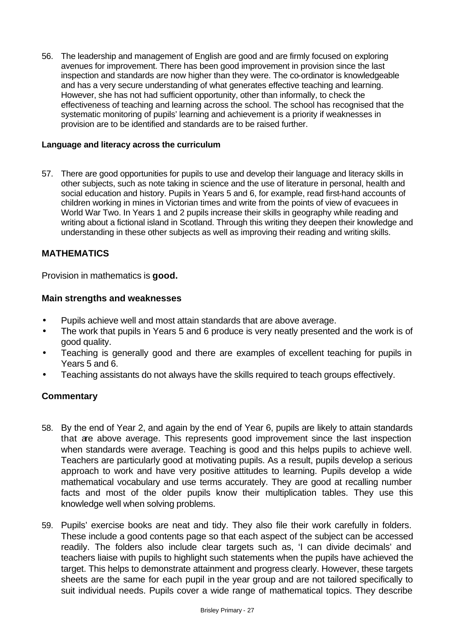56. The leadership and management of English are good and are firmly focused on exploring avenues for improvement. There has been good improvement in provision since the last inspection and standards are now higher than they were. The co-ordinator is knowledgeable and has a very secure understanding of what generates effective teaching and learning. However, she has not had sufficient opportunity, other than informally, to check the effectiveness of teaching and learning across the school. The school has recognised that the systematic monitoring of pupils' learning and achievement is a priority if weaknesses in provision are to be identified and standards are to be raised further.

### **Language and literacy across the curriculum**

57. There are good opportunities for pupils to use and develop their language and literacy skills in other subjects, such as note taking in science and the use of literature in personal, health and social education and history. Pupils in Years 5 and 6, for example, read first-hand accounts of children working in mines in Victorian times and write from the points of view of evacuees in World War Two. In Years 1 and 2 pupils increase their skills in geography while reading and writing about a fictional island in Scotland. Through this writing they deepen their knowledge and understanding in these other subjects as well as improving their reading and writing skills.

## **MATHEMATICS**

Provision in mathematics is **good.**

### **Main strengths and weaknesses**

- Pupils achieve well and most attain standards that are above average.
- The work that pupils in Years 5 and 6 produce is very neatly presented and the work is of good quality.
- Teaching is generally good and there are examples of excellent teaching for pupils in Years 5 and 6.
- Teaching assistants do not always have the skills required to teach groups effectively.

- 58. By the end of Year 2, and again by the end of Year 6, pupils are likely to attain standards that are above average. This represents good improvement since the last inspection when standards were average. Teaching is good and this helps pupils to achieve well. Teachers are particularly good at motivating pupils. As a result, pupils develop a serious approach to work and have very positive attitudes to learning. Pupils develop a wide mathematical vocabulary and use terms accurately. They are good at recalling number facts and most of the older pupils know their multiplication tables. They use this knowledge well when solving problems.
- 59. Pupils' exercise books are neat and tidy. They also file their work carefully in folders. These include a good contents page so that each aspect of the subject can be accessed readily. The folders also include clear targets such as, 'I can divide decimals' and teachers liaise with pupils to highlight such statements when the pupils have achieved the target. This helps to demonstrate attainment and progress clearly. However, these targets sheets are the same for each pupil in the year group and are not tailored specifically to suit individual needs. Pupils cover a wide range of mathematical topics. They describe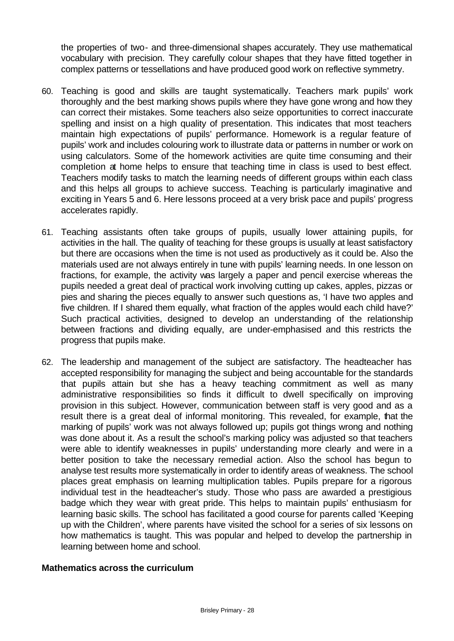the properties of two- and three-dimensional shapes accurately. They use mathematical vocabulary with precision. They carefully colour shapes that they have fitted together in complex patterns or tessellations and have produced good work on reflective symmetry.

- 60. Teaching is good and skills are taught systematically. Teachers mark pupils' work thoroughly and the best marking shows pupils where they have gone wrong and how they can correct their mistakes. Some teachers also seize opportunities to correct inaccurate spelling and insist on a high quality of presentation. This indicates that most teachers maintain high expectations of pupils' performance. Homework is a regular feature of pupils' work and includes colouring work to illustrate data or patterns in number or work on using calculators. Some of the homework activities are quite time consuming and their completion at home helps to ensure that teaching time in class is used to best effect. Teachers modify tasks to match the learning needs of different groups within each class and this helps all groups to achieve success. Teaching is particularly imaginative and exciting in Years 5 and 6. Here lessons proceed at a very brisk pace and pupils' progress accelerates rapidly.
- 61. Teaching assistants often take groups of pupils, usually lower attaining pupils, for activities in the hall. The quality of teaching for these groups is usually at least satisfactory but there are occasions when the time is not used as productively as it could be. Also the materials used are not always entirely in tune with pupils' learning needs. In one lesson on fractions, for example, the activity was largely a paper and pencil exercise whereas the pupils needed a great deal of practical work involving cutting up cakes, apples, pizzas or pies and sharing the pieces equally to answer such questions as, 'I have two apples and five children. If I shared them equally, what fraction of the apples would each child have?' Such practical activities, designed to develop an understanding of the relationship between fractions and dividing equally, are under-emphasised and this restricts the progress that pupils make.
- 62. The leadership and management of the subject are satisfactory. The headteacher has accepted responsibility for managing the subject and being accountable for the standards that pupils attain but she has a heavy teaching commitment as well as many administrative responsibilities so finds it difficult to dwell specifically on improving provision in this subject. However, communication between staff is very good and as a result there is a great deal of informal monitoring. This revealed, for example, that the marking of pupils' work was not always followed up; pupils got things wrong and nothing was done about it. As a result the school's marking policy was adjusted so that teachers were able to identify weaknesses in pupils' understanding more clearly and were in a better position to take the necessary remedial action. Also the school has begun to analyse test results more systematically in order to identify areas of weakness. The school places great emphasis on learning multiplication tables. Pupils prepare for a rigorous individual test in the headteacher's study. Those who pass are awarded a prestigious badge which they wear with great pride. This helps to maintain pupils' enthusiasm for learning basic skills. The school has facilitated a good course for parents called 'Keeping up with the Children', where parents have visited the school for a series of six lessons on how mathematics is taught. This was popular and helped to develop the partnership in learning between home and school.

### **Mathematics across the curriculum**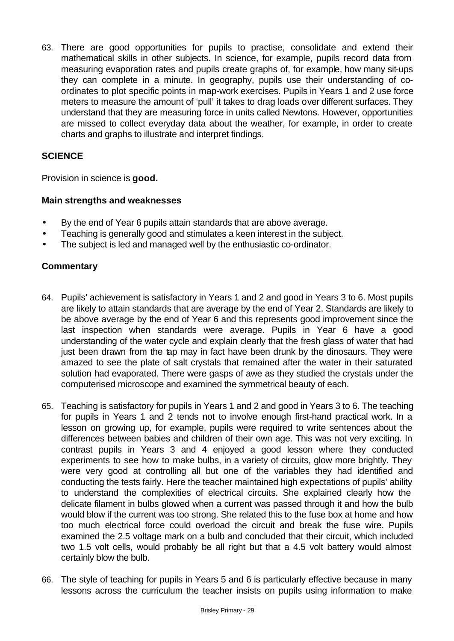63. There are good opportunities for pupils to practise, consolidate and extend their mathematical skills in other subjects. In science, for example, pupils record data from measuring evaporation rates and pupils create graphs of, for example, how many sit-ups they can complete in a minute. In geography, pupils use their understanding of coordinates to plot specific points in map-work exercises. Pupils in Years 1 and 2 use force meters to measure the amount of 'pull' it takes to drag loads over different surfaces. They understand that they are measuring force in units called Newtons. However, opportunities are missed to collect everyday data about the weather, for example, in order to create charts and graphs to illustrate and interpret findings.

# **SCIENCE**

Provision in science is **good.**

### **Main strengths and weaknesses**

- By the end of Year 6 pupils attain standards that are above average.
- Teaching is generally good and stimulates a keen interest in the subject.
- The subject is led and managed well by the enthusiastic co-ordinator.

- 64. Pupils' achievement is satisfactory in Years 1 and 2 and good in Years 3 to 6. Most pupils are likely to attain standards that are average by the end of Year 2. Standards are likely to be above average by the end of Year 6 and this represents good improvement since the last inspection when standards were average. Pupils in Year 6 have a good understanding of the water cycle and explain clearly that the fresh glass of water that had just been drawn from the tap may in fact have been drunk by the dinosaurs. They were amazed to see the plate of salt crystals that remained after the water in their saturated solution had evaporated. There were gasps of awe as they studied the crystals under the computerised microscope and examined the symmetrical beauty of each.
- 65. Teaching is satisfactory for pupils in Years 1 and 2 and good in Years 3 to 6. The teaching for pupils in Years 1 and 2 tends not to involve enough first-hand practical work. In a lesson on growing up, for example, pupils were required to write sentences about the differences between babies and children of their own age. This was not very exciting. In contrast pupils in Years 3 and 4 enjoyed a good lesson where they conducted experiments to see how to make bulbs, in a variety of circuits, glow more brightly. They were very good at controlling all but one of the variables they had identified and conducting the tests fairly. Here the teacher maintained high expectations of pupils' ability to understand the complexities of electrical circuits. She explained clearly how the delicate filament in bulbs glowed when a current was passed through it and how the bulb would blow if the current was too strong. She related this to the fuse box at home and how too much electrical force could overload the circuit and break the fuse wire. Pupils examined the 2.5 voltage mark on a bulb and concluded that their circuit, which included two 1.5 volt cells, would probably be all right but that a 4.5 volt battery would almost certainly blow the bulb.
- 66. The style of teaching for pupils in Years 5 and 6 is particularly effective because in many lessons across the curriculum the teacher insists on pupils using information to make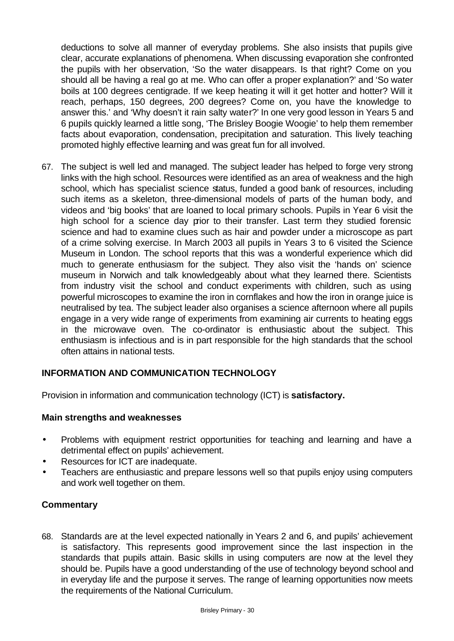deductions to solve all manner of everyday problems. She also insists that pupils give clear, accurate explanations of phenomena. When discussing evaporation she confronted the pupils with her observation, 'So the water disappears. Is that right? Come on you should all be having a real go at me. Who can offer a proper explanation?' and 'So water boils at 100 degrees centigrade. If we keep heating it will it get hotter and hotter? Will it reach, perhaps, 150 degrees, 200 degrees? Come on, you have the knowledge to answer this.' and 'Why doesn't it rain salty water?' In one very good lesson in Years 5 and 6 pupils quickly learned a little song, 'The Brisley Boogie Woogie' to help them remember facts about evaporation, condensation, precipitation and saturation. This lively teaching promoted highly effective learning and was great fun for all involved.

67. The subject is well led and managed. The subject leader has helped to forge very strong links with the high school. Resources were identified as an area of weakness and the high school, which has specialist science status, funded a good bank of resources, including such items as a skeleton, three-dimensional models of parts of the human body, and videos and 'big books' that are loaned to local primary schools. Pupils in Year 6 visit the high school for a science day prior to their transfer. Last term they studied forensic science and had to examine clues such as hair and powder under a microscope as part of a crime solving exercise. In March 2003 all pupils in Years 3 to 6 visited the Science Museum in London. The school reports that this was a wonderful experience which did much to generate enthusiasm for the subject. They also visit the 'hands on' science museum in Norwich and talk knowledgeably about what they learned there. Scientists from industry visit the school and conduct experiments with children, such as using powerful microscopes to examine the iron in cornflakes and how the iron in orange juice is neutralised by tea. The subject leader also organises a science afternoon where all pupils engage in a very wide range of experiments from examining air currents to heating eggs in the microwave oven. The co-ordinator is enthusiastic about the subject. This enthusiasm is infectious and is in part responsible for the high standards that the school often attains in national tests.

## **INFORMATION AND COMMUNICATION TECHNOLOGY**

Provision in information and communication technology (ICT) is **satisfactory.**

### **Main strengths and weaknesses**

- Problems with equipment restrict opportunities for teaching and learning and have a detrimental effect on pupils' achievement.
- Resources for ICT are inadequate.
- Teachers are enthusiastic and prepare lessons well so that pupils enjoy using computers and work well together on them.

## **Commentary**

68. Standards are at the level expected nationally in Years 2 and 6, and pupils' achievement is satisfactory. This represents good improvement since the last inspection in the standards that pupils attain. Basic skills in using computers are now at the level they should be. Pupils have a good understanding of the use of technology beyond school and in everyday life and the purpose it serves. The range of learning opportunities now meets the requirements of the National Curriculum.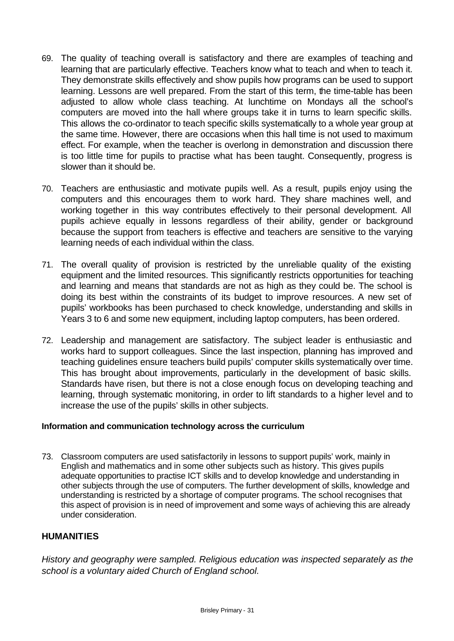- 69. The quality of teaching overall is satisfactory and there are examples of teaching and learning that are particularly effective. Teachers know what to teach and when to teach it. They demonstrate skills effectively and show pupils how programs can be used to support learning. Lessons are well prepared. From the start of this term, the time-table has been adjusted to allow whole class teaching. At lunchtime on Mondays all the school's computers are moved into the hall where groups take it in turns to learn specific skills. This allows the co-ordinator to teach specific skills systematically to a whole year group at the same time. However, there are occasions when this hall time is not used to maximum effect. For example, when the teacher is overlong in demonstration and discussion there is too little time for pupils to practise what has been taught. Consequently, progress is slower than it should be.
- 70. Teachers are enthusiastic and motivate pupils well. As a result, pupils enjoy using the computers and this encourages them to work hard. They share machines well, and working together in this way contributes effectively to their personal development. All pupils achieve equally in lessons regardless of their ability, gender or background because the support from teachers is effective and teachers are sensitive to the varying learning needs of each individual within the class.
- 71. The overall quality of provision is restricted by the unreliable quality of the existing equipment and the limited resources. This significantly restricts opportunities for teaching and learning and means that standards are not as high as they could be. The school is doing its best within the constraints of its budget to improve resources. A new set of pupils' workbooks has been purchased to check knowledge, understanding and skills in Years 3 to 6 and some new equipment, including laptop computers, has been ordered.
- 72. Leadership and management are satisfactory. The subject leader is enthusiastic and works hard to support colleagues. Since the last inspection, planning has improved and teaching guidelines ensure teachers build pupils' computer skills systematically over time. This has brought about improvements, particularly in the development of basic skills. Standards have risen, but there is not a close enough focus on developing teaching and learning, through systematic monitoring, in order to lift standards to a higher level and to increase the use of the pupils' skills in other subjects.

### **Information and communication technology across the curriculum**

73. Classroom computers are used satisfactorily in lessons to support pupils' work, mainly in English and mathematics and in some other subjects such as history. This gives pupils adequate opportunities to practise ICT skills and to develop knowledge and understanding in other subjects through the use of computers. The further development of skills, knowledge and understanding is restricted by a shortage of computer programs. The school recognises that this aspect of provision is in need of improvement and some ways of achieving this are already under consideration.

### **HUMANITIES**

*History and geography were sampled. Religious education was inspected separately as the school is a voluntary aided Church of England school.*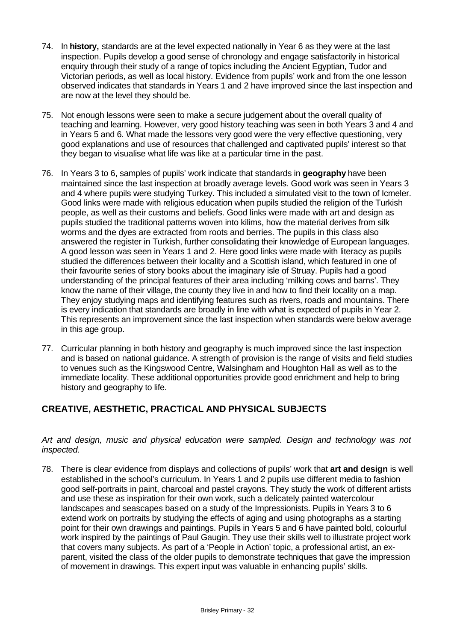- 74. In **history,** standards are at the level expected nationally in Year 6 as they were at the last inspection. Pupils develop a good sense of chronology and engage satisfactorily in historical enquiry through their study of a range of topics including the Ancient Egyptian, Tudor and Victorian periods, as well as local history. Evidence from pupils' work and from the one lesson observed indicates that standards in Years 1 and 2 have improved since the last inspection and are now at the level they should be.
- 75. Not enough lessons were seen to make a secure judgement about the overall quality of teaching and learning. However, very good history teaching was seen in both Years 3 and 4 and in Years 5 and 6. What made the lessons very good were the very effective questioning, very good explanations and use of resources that challenged and captivated pupils' interest so that they began to visualise what life was like at a particular time in the past.
- 76. In Years 3 to 6, samples of pupils' work indicate that standards in **geography** have been maintained since the last inspection at broadly average levels. Good work was seen in Years 3 and 4 where pupils were studying Turkey. This included a simulated visit to the town of Icmeler. Good links were made with religious education when pupils studied the religion of the Turkish people, as well as their customs and beliefs. Good links were made with art and design as pupils studied the traditional patterns woven into kilims, how the material derives from silk worms and the dyes are extracted from roots and berries. The pupils in this class also answered the register in Turkish, further consolidating their knowledge of European languages. A good lesson was seen in Years 1 and 2. Here good links were made with literacy as pupils studied the differences between their locality and a Scottish island, which featured in one of their favourite series of story books about the imaginary isle of Struay. Pupils had a good understanding of the principal features of their area including 'milking cows and barns'. They know the name of their village, the county they live in and how to find their locality on a map. They enjoy studying maps and identifying features such as rivers, roads and mountains. There is every indication that standards are broadly in line with what is expected of pupils in Year 2. This represents an improvement since the last inspection when standards were below average in this age group.
- 77. Curricular planning in both history and geography is much improved since the last inspection and is based on national guidance. A strength of provision is the range of visits and field studies to venues such as the Kingswood Centre, Walsingham and Houghton Hall as well as to the immediate locality. These additional opportunities provide good enrichment and help to bring history and geography to life.

## **CREATIVE, AESTHETIC, PRACTICAL AND PHYSICAL SUBJECTS**

*Art and design, music and physical education were sampled. Design and technology was not inspected.*

78. There is clear evidence from displays and collections of pupils' work that **art and design** is well established in the school's curriculum. In Years 1 and 2 pupils use different media to fashion good self-portraits in paint, charcoal and pastel crayons. They study the work of different artists and use these as inspiration for their own work, such a delicately painted watercolour landscapes and seascapes based on a study of the Impressionists. Pupils in Years 3 to 6 extend work on portraits by studying the effects of aging and using photographs as a starting point for their own drawings and paintings. Pupils in Years 5 and 6 have painted bold, colourful work inspired by the paintings of Paul Gaugin. They use their skills well to illustrate project work that covers many subjects. As part of a 'People in Action' topic, a professional artist, an exparent, visited the class of the older pupils to demonstrate techniques that gave the impression of movement in drawings. This expert input was valuable in enhancing pupils' skills.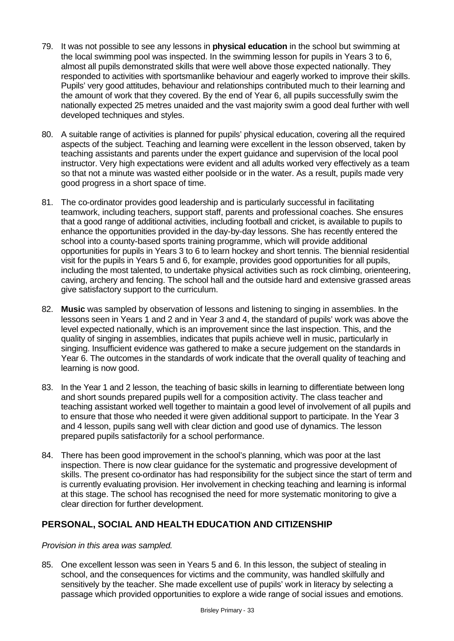- 79. It was not possible to see any lessons in **physical education** in the school but swimming at the local swimming pool was inspected. In the swimming lesson for pupils in Years 3 to 6, almost all pupils demonstrated skills that were well above those expected nationally. They responded to activities with sportsmanlike behaviour and eagerly worked to improve their skills. Pupils' very good attitudes, behaviour and relationships contributed much to their learning and the amount of work that they covered. By the end of Year 6, all pupils successfully swim the nationally expected 25 metres unaided and the vast majority swim a good deal further with well developed techniques and styles.
- 80. A suitable range of activities is planned for pupils' physical education, covering all the required aspects of the subject. Teaching and learning were excellent in the lesson observed, taken by teaching assistants and parents under the expert guidance and supervision of the local pool instructor. Very high expectations were evident and all adults worked very effectively as a team so that not a minute was wasted either poolside or in the water. As a result, pupils made very good progress in a short space of time.
- 81. The co-ordinator provides good leadership and is particularly successful in facilitating teamwork, including teachers, support staff, parents and professional coaches. She ensures that a good range of additional activities, including football and cricket, is available to pupils to enhance the opportunities provided in the day-by-day lessons. She has recently entered the school into a county-based sports training programme, which will provide additional opportunities for pupils in Years 3 to 6 to learn hockey and short tennis. The biennial residential visit for the pupils in Years 5 and 6, for example, provides good opportunities for all pupils, including the most talented, to undertake physical activities such as rock climbing, orienteering, caving, archery and fencing. The school hall and the outside hard and extensive grassed areas give satisfactory support to the curriculum.
- 82. **Music** was sampled by observation of lessons and listening to singing in assemblies. In the lessons seen in Years 1 and 2 and in Year 3 and 4, the standard of pupils' work was above the level expected nationally, which is an improvement since the last inspection. This, and the quality of singing in assemblies, indicates that pupils achieve well in music, particularly in singing. Insufficient evidence was gathered to make a secure judgement on the standards in Year 6. The outcomes in the standards of work indicate that the overall quality of teaching and learning is now good.
- 83. In the Year 1 and 2 lesson, the teaching of basic skills in learning to differentiate between long and short sounds prepared pupils well for a composition activity. The class teacher and teaching assistant worked well together to maintain a good level of involvement of all pupils and to ensure that those who needed it were given additional support to participate. In the Year 3 and 4 lesson, pupils sang well with clear diction and good use of dynamics. The lesson prepared pupils satisfactorily for a school performance.
- 84. There has been good improvement in the school's planning, which was poor at the last inspection. There is now clear guidance for the systematic and progressive development of skills. The present co-ordinator has had responsibility for the subject since the start of term and is currently evaluating provision. Her involvement in checking teaching and learning is informal at this stage. The school has recognised the need for more systematic monitoring to give a clear direction for further development.

### **PERSONAL, SOCIAL AND HEALTH EDUCATION AND CITIZENSHIP**

### *Provision in this area was sampled.*

85. One excellent lesson was seen in Years 5 and 6. In this lesson, the subject of stealing in school, and the consequences for victims and the community, was handled skilfully and sensitively by the teacher. She made excellent use of pupils' work in literacy by selecting a passage which provided opportunities to explore a wide range of social issues and emotions.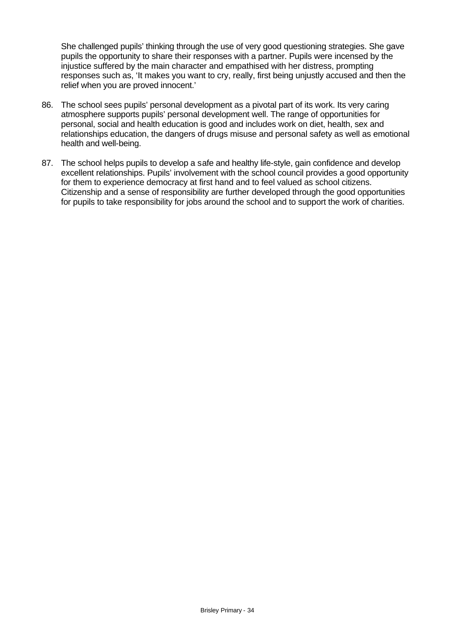She challenged pupils' thinking through the use of very good questioning strategies. She gave pupils the opportunity to share their responses with a partner. Pupils were incensed by the injustice suffered by the main character and empathised with her distress, prompting responses such as, 'It makes you want to cry, really, first being unjustly accused and then the relief when you are proved innocent.'

- 86. The school sees pupils' personal development as a pivotal part of its work. Its very caring atmosphere supports pupils' personal development well. The range of opportunities for personal, social and health education is good and includes work on diet, health, sex and relationships education, the dangers of drugs misuse and personal safety as well as emotional health and well-being.
- 87. The school helps pupils to develop a safe and healthy life-style, gain confidence and develop excellent relationships. Pupils' involvement with the school council provides a good opportunity for them to experience democracy at first hand and to feel valued as school citizens. Citizenship and a sense of responsibility are further developed through the good opportunities for pupils to take responsibility for jobs around the school and to support the work of charities.